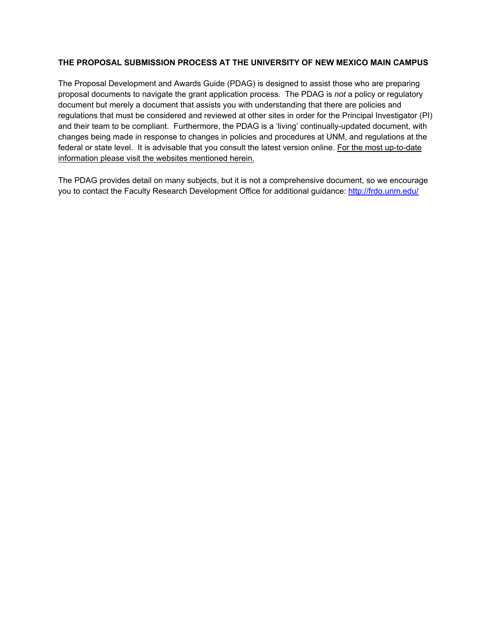#### **THE PROPOSAL SUBMISSION PROCESS AT THE UNIVERSITY OF NEW MEXICO MAIN CAMPUS**

The Proposal Development and Awards Guide (PDAG) is designed to assist those who are preparing proposal documents to navigate the grant application process. The PDAG is *not* a policy or regulatory document but merely a document that assists you with understanding that there are policies and regulations that must be considered and reviewed at other sites in order for the Principal Investigator (PI) and their team to be compliant. Furthermore, the PDAG is a 'living' continually-updated document, with changes being made in response to changes in policies and procedures at UNM, and regulations at the federal or state level. It is advisable that you consult the latest version online. For the most up-to-date information please visit the websites mentioned herein.

The PDAG provides detail on many subjects, but it is not a comprehensive document, so we encourage you to contact the Faculty Research Development Office for additional guidance: http://frdo.unm.edu/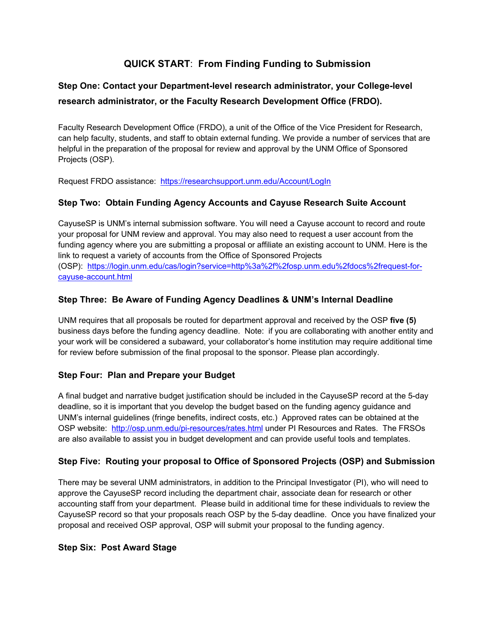# **QUICK START**: **From Finding Funding to Submission**

# **Step One: Contact your Department-level research administrator, your College-level research administrator, or the Faculty Research Development Office (FRDO).**

Faculty Research Development Office (FRDO), a unit of the Office of the Vice President for Research, can help faculty, students, and staff to obtain external funding. We provide a number of services that are helpful in the preparation of the proposal for review and approval by the UNM Office of Sponsored Projects (OSP).

Request FRDO assistance: https://researchsupport.unm.edu/Account/LogIn

# **Step Two: Obtain Funding Agency Accounts and Cayuse Research Suite Account**

CayuseSP is UNM's internal submission software. You will need a Cayuse account to record and route your proposal for UNM review and approval. You may also need to request a user account from the funding agency where you are submitting a proposal or affiliate an existing account to UNM. Here is the link to request a variety of accounts from the Office of Sponsored Projects (OSP): https://login.unm.edu/cas/login?service=http%3a%2f%2fosp.unm.edu%2fdocs%2frequest-forcayuse-account.html

# **Step Three: Be Aware of Funding Agency Deadlines & UNM's Internal Deadline**

UNM requires that all proposals be routed for department approval and received by the OSP **five (5)** business days before the funding agency deadline. Note: if you are collaborating with another entity and your work will be considered a subaward, your collaborator's home institution may require additional time for review before submission of the final proposal to the sponsor. Please plan accordingly.

# **Step Four: Plan and Prepare your Budget**

A final budget and narrative budget justification should be included in the CayuseSP record at the 5-day deadline, so it is important that you develop the budget based on the funding agency guidance and UNM's internal guidelines (fringe benefits, indirect costs, etc.) Approved rates can be obtained at the OSP website: http://osp.unm.edu/pi-resources/rates.html under PI Resources and Rates. The FRSOs are also available to assist you in budget development and can provide useful tools and templates.

# **Step Five: Routing your proposal to Office of Sponsored Projects (OSP) and Submission**

There may be several UNM administrators, in addition to the Principal Investigator (PI), who will need to approve the CayuseSP record including the department chair, associate dean for research or other accounting staff from your department. Please build in additional time for these individuals to review the CayuseSP record so that your proposals reach OSP by the 5-day deadline. Once you have finalized your proposal and received OSP approval, OSP will submit your proposal to the funding agency.

#### **Step Six: Post Award Stage**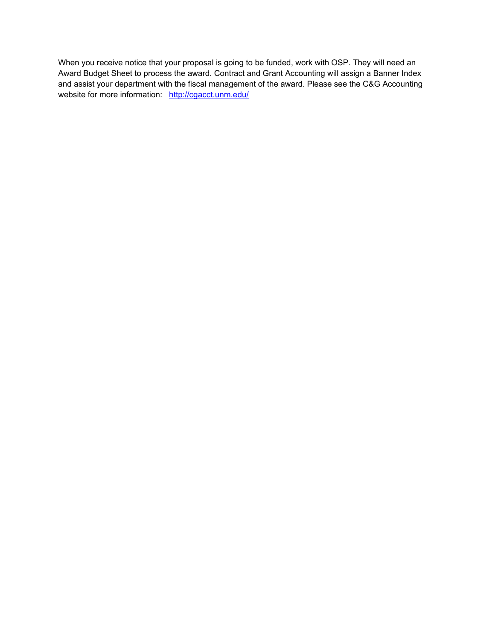When you receive notice that your proposal is going to be funded, work with OSP. They will need an Award Budget Sheet to process the award. Contract and Grant Accounting will assign a Banner Index and assist your department with the fiscal management of the award. Please see the C&G Accounting website for more information: http://cgacct.unm.edu/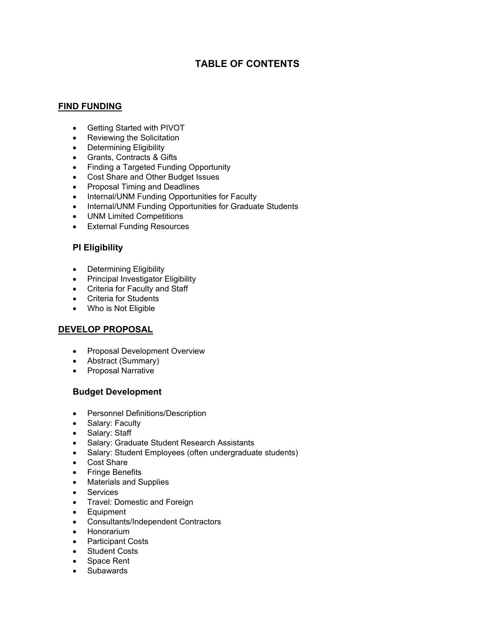# **TABLE OF CONTENTS**

# **FIND FUNDING**

- Getting Started with PIVOT
- Reviewing the Solicitation
- Determining Eligibility
- Grants, Contracts & Gifts
- Finding a Targeted Funding Opportunity
- Cost Share and Other Budget Issues
- Proposal Timing and Deadlines
- Internal/UNM Funding Opportunities for Faculty
- Internal/UNM Funding Opportunities for Graduate Students
- UNM Limited Competitions
- External Funding Resources

# **PI Eligibility**

- Determining Eligibility
- Principal Investigator Eligibility
- Criteria for Faculty and Staff
- Criteria for Students
- Who is Not Eligible

# **DEVELOP PROPOSAL**

- Proposal Development Overview
- Abstract (Summary)
- Proposal Narrative

# **Budget Development**

- Personnel Definitions/Description
- Salary: Faculty
- Salary: Staff
- Salary: Graduate Student Research Assistants
- Salary: Student Employees (often undergraduate students)
- Cost Share
- **•** Fringe Benefits
- Materials and Supplies
- Services
- Travel: Domestic and Foreign
- Equipment
- Consultants/Independent Contractors
- Honorarium
- Participant Costs
- Student Costs
- Space Rent
- Subawards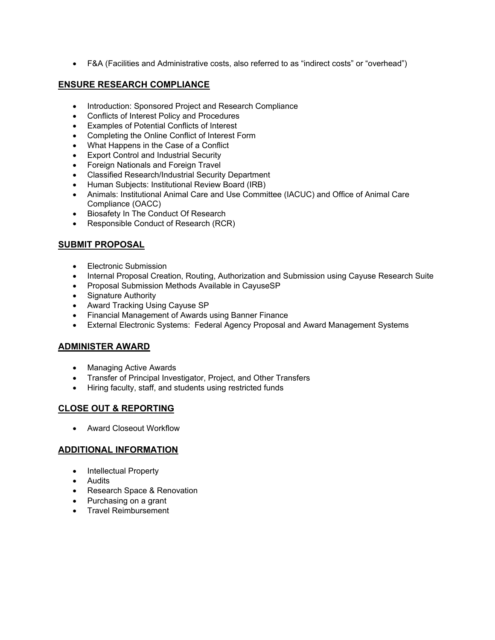F&A (Facilities and Administrative costs, also referred to as "indirect costs" or "overhead")

#### **ENSURE RESEARCH COMPLIANCE**

- Introduction: Sponsored Project and Research Compliance
- Conflicts of Interest Policy and Procedures
- Examples of Potential Conflicts of Interest
- Completing the Online Conflict of Interest Form
- What Happens in the Case of a Conflict
- **Export Control and Industrial Security**
- Foreign Nationals and Foreign Travel
- Classified Research/Industrial Security Department
- Human Subjects: Institutional Review Board (IRB)
- Animals: Institutional Animal Care and Use Committee (IACUC) and Office of Animal Care Compliance (OACC)
- Biosafety In The Conduct Of Research
- Responsible Conduct of Research (RCR)

### **SUBMIT PROPOSAL**

- Electronic Submission
- Internal Proposal Creation, Routing, Authorization and Submission using Cayuse Research Suite
- Proposal Submission Methods Available in CayuseSP
- Signature Authority
- Award Tracking Using Cayuse SP
- Financial Management of Awards using Banner Finance
- External Electronic Systems: Federal Agency Proposal and Award Management Systems

#### **ADMINISTER AWARD**

- Managing Active Awards
- Transfer of Principal Investigator, Project, and Other Transfers
- Hiring faculty, staff, and students using restricted funds

# **CLOSE OUT & REPORTING**

Award Closeout Workflow

#### **ADDITIONAL INFORMATION**

- Intellectual Property
- Audits
- Research Space & Renovation
- Purchasing on a grant
- **•** Travel Reimbursement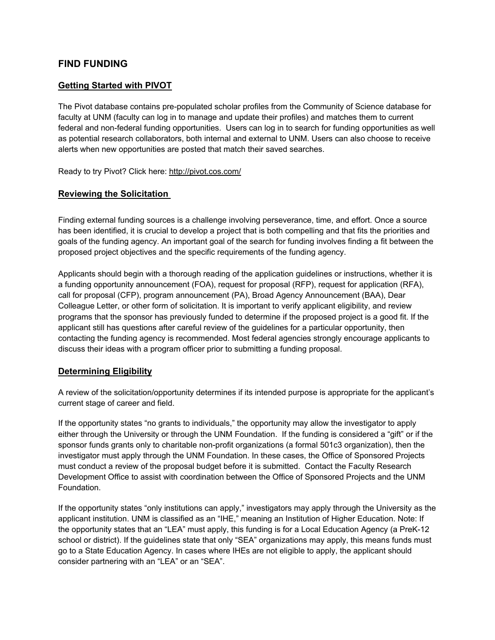# **FIND FUNDING**

### **Getting Started with PIVOT**

The Pivot database contains pre-populated scholar profiles from the Community of Science database for faculty at UNM (faculty can log in to manage and update their profiles) and matches them to current federal and non-federal funding opportunities. Users can log in to search for funding opportunities as well as potential research collaborators, both internal and external to UNM. Users can also choose to receive alerts when new opportunities are posted that match their saved searches.

Ready to try Pivot? Click here: http://pivot.cos.com/

#### **Reviewing the Solicitation**

Finding external funding sources is a challenge involving perseverance, time, and effort. Once a source has been identified, it is crucial to develop a project that is both compelling and that fits the priorities and goals of the funding agency. An important goal of the search for funding involves finding a fit between the proposed project objectives and the specific requirements of the funding agency.

Applicants should begin with a thorough reading of the application guidelines or instructions, whether it is a funding opportunity announcement (FOA), request for proposal (RFP), request for application (RFA), call for proposal (CFP), program announcement (PA), Broad Agency Announcement (BAA), Dear Colleague Letter, or other form of solicitation. It is important to verify applicant eligibility, and review programs that the sponsor has previously funded to determine if the proposed project is a good fit. If the applicant still has questions after careful review of the guidelines for a particular opportunity, then contacting the funding agency is recommended. Most federal agencies strongly encourage applicants to discuss their ideas with a program officer prior to submitting a funding proposal.

#### **Determining Eligibility**

A review of the solicitation/opportunity determines if its intended purpose is appropriate for the applicant's current stage of career and field.

If the opportunity states "no grants to individuals," the opportunity may allow the investigator to apply either through the University or through the UNM Foundation. If the funding is considered a "gift" or if the sponsor funds grants only to charitable non-profit organizations (a formal 501c3 organization), then the investigator must apply through the UNM Foundation. In these cases, the Office of Sponsored Projects must conduct a review of the proposal budget before it is submitted. Contact the Faculty Research Development Office to assist with coordination between the Office of Sponsored Projects and the UNM Foundation.

If the opportunity states "only institutions can apply," investigators may apply through the University as the applicant institution. UNM is classified as an "IHE," meaning an Institution of Higher Education. Note: If the opportunity states that an "LEA" must apply, this funding is for a Local Education Agency (a PreK-12 school or district). If the guidelines state that only "SEA" organizations may apply, this means funds must go to a State Education Agency. In cases where IHEs are not eligible to apply, the applicant should consider partnering with an "LEA" or an "SEA".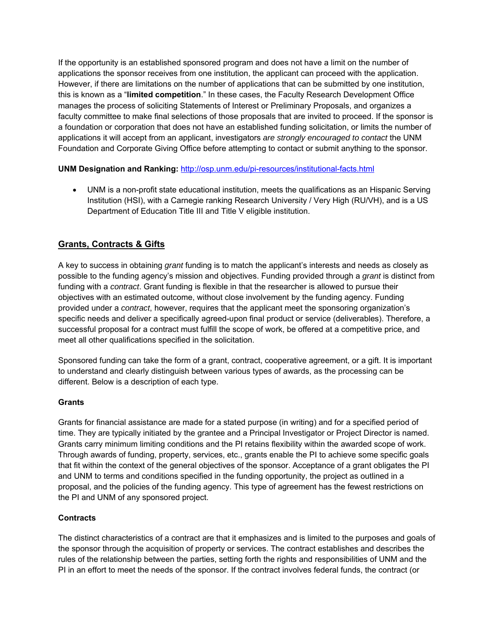If the opportunity is an established sponsored program and does not have a limit on the number of applications the sponsor receives from one institution, the applicant can proceed with the application. However, if there are limitations on the number of applications that can be submitted by one institution, this is known as a "**limited competition**." In these cases, the Faculty Research Development Office manages the process of soliciting Statements of Interest or Preliminary Proposals, and organizes a faculty committee to make final selections of those proposals that are invited to proceed. If the sponsor is a foundation or corporation that does not have an established funding solicitation, or limits the number of applications it will accept from an applicant, investigators *are strongly encouraged to contact* the UNM Foundation and Corporate Giving Office before attempting to contact or submit anything to the sponsor.

### **UNM Designation and Ranking:** http://osp.unm.edu/pi-resources/institutional-facts.html

 UNM is a non-profit state educational institution, meets the qualifications as an Hispanic Serving Institution (HSI), with a Carnegie ranking Research University / Very High (RU/VH), and is a US Department of Education Title III and Title V eligible institution.

# **Grants, Contracts & Gifts**

A key to success in obtaining *grant* funding is to match the applicant's interests and needs as closely as possible to the funding agency's mission and objectives. Funding provided through a *grant* is distinct from funding with a *contract*. Grant funding is flexible in that the researcher is allowed to pursue their objectives with an estimated outcome, without close involvement by the funding agency. Funding provided under a *contract*, however, requires that the applicant meet the sponsoring organization's specific needs and deliver a specifically agreed-upon final product or service (deliverables). Therefore, a successful proposal for a contract must fulfill the scope of work, be offered at a competitive price, and meet all other qualifications specified in the solicitation.

Sponsored funding can take the form of a grant, contract, cooperative agreement, or a gift. It is important to understand and clearly distinguish between various types of awards, as the processing can be different. Below is a description of each type.

#### **Grants**

Grants for financial assistance are made for a stated purpose (in writing) and for a specified period of time. They are typically initiated by the grantee and a Principal Investigator or Project Director is named. Grants carry minimum limiting conditions and the PI retains flexibility within the awarded scope of work. Through awards of funding, property, services, etc., grants enable the PI to achieve some specific goals that fit within the context of the general objectives of the sponsor. Acceptance of a grant obligates the PI and UNM to terms and conditions specified in the funding opportunity, the project as outlined in a proposal, and the policies of the funding agency. This type of agreement has the fewest restrictions on the PI and UNM of any sponsored project.

#### **Contracts**

The distinct characteristics of a contract are that it emphasizes and is limited to the purposes and goals of the sponsor through the acquisition of property or services. The contract establishes and describes the rules of the relationship between the parties, setting forth the rights and responsibilities of UNM and the PI in an effort to meet the needs of the sponsor. If the contract involves federal funds, the contract (or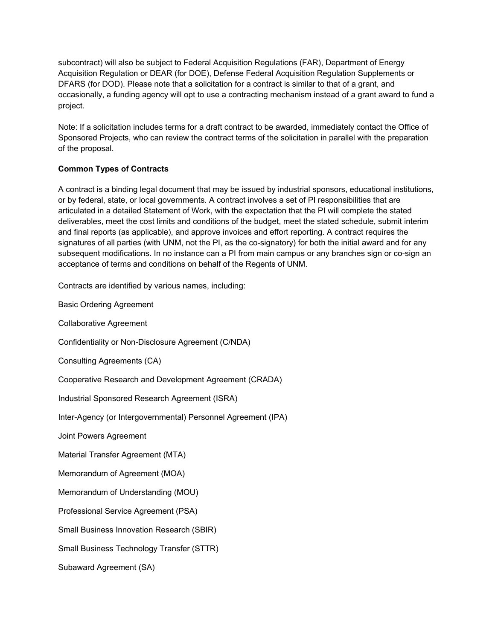subcontract) will also be subject to Federal Acquisition Regulations (FAR), Department of Energy Acquisition Regulation or DEAR (for DOE), Defense Federal Acquisition Regulation Supplements or DFARS (for DOD). Please note that a solicitation for a contract is similar to that of a grant, and occasionally, a funding agency will opt to use a contracting mechanism instead of a grant award to fund a project.

Note: If a solicitation includes terms for a draft contract to be awarded, immediately contact the Office of Sponsored Projects, who can review the contract terms of the solicitation in parallel with the preparation of the proposal.

# **Common Types of Contracts**

A contract is a binding legal document that may be issued by industrial sponsors, educational institutions, or by federal, state, or local governments. A contract involves a set of PI responsibilities that are articulated in a detailed Statement of Work, with the expectation that the PI will complete the stated deliverables, meet the cost limits and conditions of the budget, meet the stated schedule, submit interim and final reports (as applicable), and approve invoices and effort reporting. A contract requires the signatures of all parties (with UNM, not the PI, as the co-signatory) for both the initial award and for any subsequent modifications. In no instance can a PI from main campus or any branches sign or co-sign an acceptance of terms and conditions on behalf of the Regents of UNM.

Contracts are identified by various names, including:

Basic Ordering Agreement

Collaborative Agreement

Confidentiality or Non-Disclosure Agreement (C/NDA)

Consulting Agreements (CA)

Cooperative Research and Development Agreement (CRADA)

Industrial Sponsored Research Agreement (ISRA)

Inter-Agency (or Intergovernmental) Personnel Agreement (IPA)

Joint Powers Agreement

Material Transfer Agreement (MTA)

Memorandum of Agreement (MOA)

Memorandum of Understanding (MOU)

Professional Service Agreement (PSA)

Small Business Innovation Research (SBIR)

Small Business Technology Transfer (STTR)

Subaward Agreement (SA)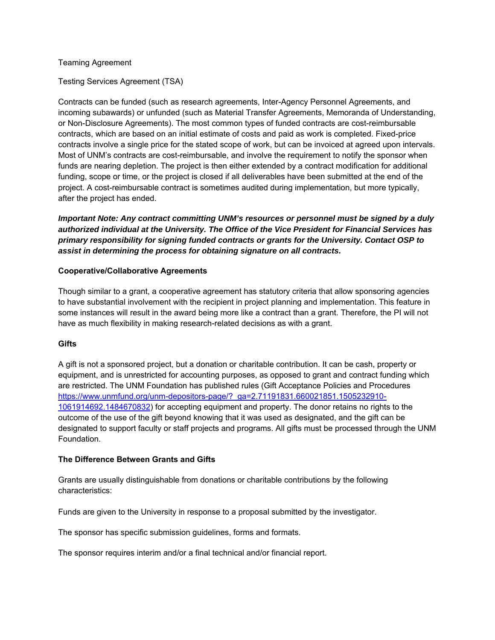#### Teaming Agreement

Testing Services Agreement (TSA)

Contracts can be funded (such as research agreements, Inter-Agency Personnel Agreements, and incoming subawards) or unfunded (such as Material Transfer Agreements, Memoranda of Understanding, or Non-Disclosure Agreements). The most common types of funded contracts are cost-reimbursable contracts, which are based on an initial estimate of costs and paid as work is completed. Fixed-price contracts involve a single price for the stated scope of work, but can be invoiced at agreed upon intervals. Most of UNM's contracts are cost-reimbursable, and involve the requirement to notify the sponsor when funds are nearing depletion. The project is then either extended by a contract modification for additional funding, scope or time, or the project is closed if all deliverables have been submitted at the end of the project. A cost-reimbursable contract is sometimes audited during implementation, but more typically, after the project has ended.

*Important Note: Any contract committing UNM's resources or personnel must be signed by a duly authorized individual at the University. The Office of the Vice President for Financial Services has primary responsibility for signing funded contracts or grants for the University. Contact OSP to assist in determining the process for obtaining signature on all contracts.* 

#### **Cooperative/Collaborative Agreements**

Though similar to a grant, a cooperative agreement has statutory criteria that allow sponsoring agencies to have substantial involvement with the recipient in project planning and implementation. This feature in some instances will result in the award being more like a contract than a grant. Therefore, the PI will not have as much flexibility in making research-related decisions as with a grant.

#### **Gifts**

A gift is not a sponsored project, but a donation or charitable contribution. It can be cash, property or equipment, and is unrestricted for accounting purposes, as opposed to grant and contract funding which are restricted. The UNM Foundation has published rules (Gift Acceptance Policies and Procedures https://www.unmfund.org/unm-depositors-page/?\_ga=2.71191831.660021851.1505232910- 1061914692.1484670832) for accepting equipment and property. The donor retains no rights to the outcome of the use of the gift beyond knowing that it was used as designated, and the gift can be designated to support faculty or staff projects and programs. All gifts must be processed through the UNM Foundation.

#### **The Difference Between Grants and Gifts**

Grants are usually distinguishable from donations or charitable contributions by the following characteristics:

Funds are given to the University in response to a proposal submitted by the investigator.

The sponsor has specific submission guidelines, forms and formats.

The sponsor requires interim and/or a final technical and/or financial report.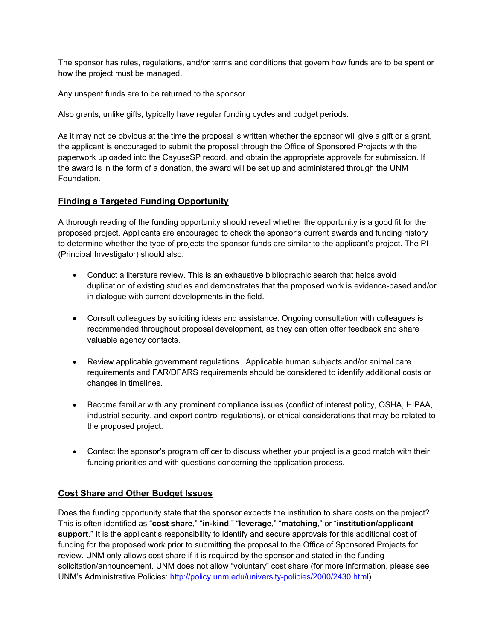The sponsor has rules, regulations, and/or terms and conditions that govern how funds are to be spent or how the project must be managed.

Any unspent funds are to be returned to the sponsor.

Also grants, unlike gifts, typically have regular funding cycles and budget periods.

As it may not be obvious at the time the proposal is written whether the sponsor will give a gift or a grant, the applicant is encouraged to submit the proposal through the Office of Sponsored Projects with the paperwork uploaded into the CayuseSP record, and obtain the appropriate approvals for submission. If the award is in the form of a donation, the award will be set up and administered through the UNM Foundation.

# **Finding a Targeted Funding Opportunity**

A thorough reading of the funding opportunity should reveal whether the opportunity is a good fit for the proposed project. Applicants are encouraged to check the sponsor's current awards and funding history to determine whether the type of projects the sponsor funds are similar to the applicant's project. The PI (Principal Investigator) should also:

- Conduct a literature review. This is an exhaustive bibliographic search that helps avoid duplication of existing studies and demonstrates that the proposed work is evidence-based and/or in dialogue with current developments in the field.
- Consult colleagues by soliciting ideas and assistance. Ongoing consultation with colleagues is recommended throughout proposal development, as they can often offer feedback and share valuable agency contacts.
- Review applicable government regulations. Applicable human subjects and/or animal care requirements and FAR/DFARS requirements should be considered to identify additional costs or changes in timelines.
- Become familiar with any prominent compliance issues (conflict of interest policy, OSHA, HIPAA, industrial security, and export control regulations), or ethical considerations that may be related to the proposed project.
- Contact the sponsor's program officer to discuss whether your project is a good match with their funding priorities and with questions concerning the application process.

# **Cost Share and Other Budget Issues**

Does the funding opportunity state that the sponsor expects the institution to share costs on the project? This is often identified as "**cost share**," "**in-kind**," "**leverage**," "**matching**," or "**institution/applicant support**." It is the applicant's responsibility to identify and secure approvals for this additional cost of funding for the proposed work prior to submitting the proposal to the Office of Sponsored Projects for review. UNM only allows cost share if it is required by the sponsor and stated in the funding solicitation/announcement. UNM does not allow "voluntary" cost share (for more information, please see UNM's Administrative Policies: http://policy.unm.edu/university-policies/2000/2430.html)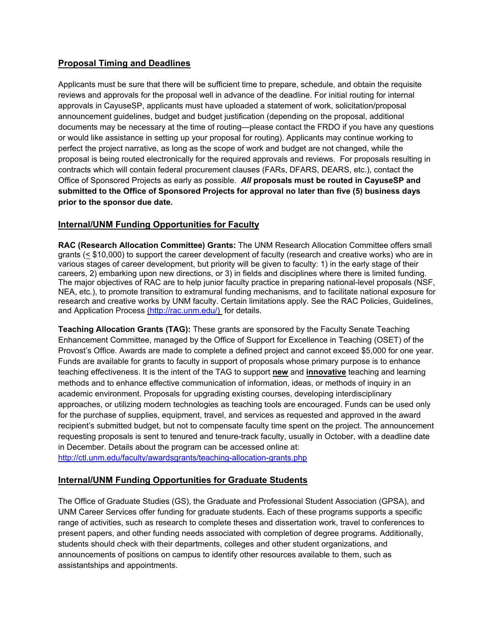# **Proposal Timing and Deadlines**

Applicants must be sure that there will be sufficient time to prepare, schedule, and obtain the requisite reviews and approvals for the proposal well in advance of the deadline. For initial routing for internal approvals in CayuseSP, applicants must have uploaded a statement of work, solicitation/proposal announcement guidelines, budget and budget justification (depending on the proposal, additional documents may be necessary at the time of routing—please contact the FRDO if you have any questions or would like assistance in setting up your proposal for routing). Applicants may continue working to perfect the project narrative, as long as the scope of work and budget are not changed, while the proposal is being routed electronically for the required approvals and reviews. For proposals resulting in contracts which will contain federal procurement clauses (FARs, DFARS, DEARS, etc.), contact the Office of Sponsored Projects as early as possible. *All* **proposals must be routed in CayuseSP and submitted to the Office of Sponsored Projects for approval no later than five (5) business days prior to the sponsor due date.**

# **Internal/UNM Funding Opportunities for Faculty**

**RAC (Research Allocation Committee) Grants:** The UNM Research Allocation Committee offers small grants (< \$10,000) to support the career development of faculty (research and creative works) who are in various stages of career development, but priority will be given to faculty: 1) in the early stage of their careers, 2) embarking upon new directions, or 3) in fields and disciplines where there is limited funding. The major objectives of RAC are to help junior faculty practice in preparing national-level proposals (NSF, NEA, etc.), to promote transition to extramural funding mechanisms, and to facilitate national exposure for research and creative works by UNM faculty. Certain limitations apply. See the RAC Policies, Guidelines, and Application Process (http://rac.unm.edu/) for details.

**Teaching Allocation Grants (TAG):** These grants are sponsored by the Faculty Senate Teaching Enhancement Committee, managed by the Office of Support for Excellence in Teaching (OSET) of the Provost's Office. Awards are made to complete a defined project and cannot exceed \$5,000 for one year. Funds are available for grants to faculty in support of proposals whose primary purpose is to enhance teaching effectiveness. It is the intent of the TAG to support **new** and **innovative** teaching and learning methods and to enhance effective communication of information, ideas, or methods of inquiry in an academic environment. Proposals for upgrading existing courses, developing interdisciplinary approaches, or utilizing modern technologies as teaching tools are encouraged. Funds can be used only for the purchase of supplies, equipment, travel, and services as requested and approved in the award recipient's submitted budget, but not to compensate faculty time spent on the project. The announcement requesting proposals is sent to tenured and tenure-track faculty, usually in October, with a deadline date in December. Details about the program can be accessed online at:

http://ctl.unm.edu/faculty/awardsgrants/teaching-allocation-grants.php

# **Internal/UNM Funding Opportunities for Graduate Students**

The Office of Graduate Studies (GS), the Graduate and Professional Student Association (GPSA), and UNM Career Services offer funding for graduate students. Each of these programs supports a specific range of activities, such as research to complete theses and dissertation work, travel to conferences to present papers, and other funding needs associated with completion of degree programs. Additionally, students should check with their departments, colleges and other student organizations, and announcements of positions on campus to identify other resources available to them, such as assistantships and appointments.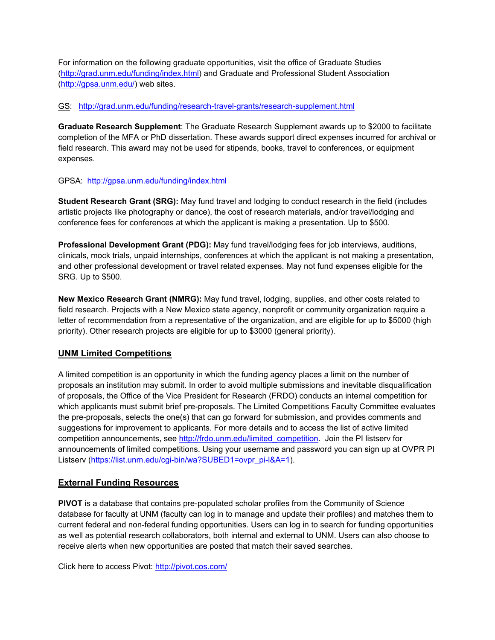For information on the following graduate opportunities, visit the office of Graduate Studies (http://grad.unm.edu/funding/index.html) and Graduate and Professional Student Association (http://gpsa.unm.edu/) web sites.

#### GS: http://grad.unm.edu/funding/research-travel-grants/research-supplement.html

**Graduate Research Supplement**: The Graduate Research Supplement awards up to \$2000 to facilitate completion of the MFA or PhD dissertation. These awards support direct expenses incurred for archival or field research. This award may not be used for stipends, books, travel to conferences, or equipment expenses.

### GPSA: http://gpsa.unm.edu/funding/index.html

**Student Research Grant (SRG):** May fund travel and lodging to conduct research in the field (includes artistic projects like photography or dance), the cost of research materials, and/or travel/lodging and conference fees for conferences at which the applicant is making a presentation. Up to \$500.

**Professional Development Grant (PDG):** May fund travel/lodging fees for job interviews, auditions, clinicals, mock trials, unpaid internships, conferences at which the applicant is not making a presentation, and other professional development or travel related expenses. May not fund expenses eligible for the SRG. Up to \$500.

**New Mexico Research Grant (NMRG):** May fund travel, lodging, supplies, and other costs related to field research. Projects with a New Mexico state agency, nonprofit or community organization require a letter of recommendation from a representative of the organization, and are eligible for up to \$5000 (high priority). Other research projects are eligible for up to \$3000 (general priority).

# **UNM Limited Competitions**

A limited competition is an opportunity in which the funding agency places a limit on the number of proposals an institution may submit. In order to avoid multiple submissions and inevitable disqualification of proposals, the Office of the Vice President for Research (FRDO) conducts an internal competition for which applicants must submit brief pre-proposals. The Limited Competitions Faculty Committee evaluates the pre-proposals, selects the one(s) that can go forward for submission, and provides comments and suggestions for improvement to applicants. For more details and to access the list of active limited competition announcements, see http://frdo.unm.edu/limited\_competition. Join the PI listserv for announcements of limited competitions. Using your username and password you can sign up at OVPR PI Listserv (https://list.unm.edu/cgi-bin/wa?SUBED1=ovpr\_pi-l&A=1).

# **External Funding Resources**

**PIVOT** is a database that contains pre-populated scholar profiles from the Community of Science database for faculty at UNM (faculty can log in to manage and update their profiles) and matches them to current federal and non-federal funding opportunities. Users can log in to search for funding opportunities as well as potential research collaborators, both internal and external to UNM. Users can also choose to receive alerts when new opportunities are posted that match their saved searches.

Click here to access Pivot: http://pivot.cos.com/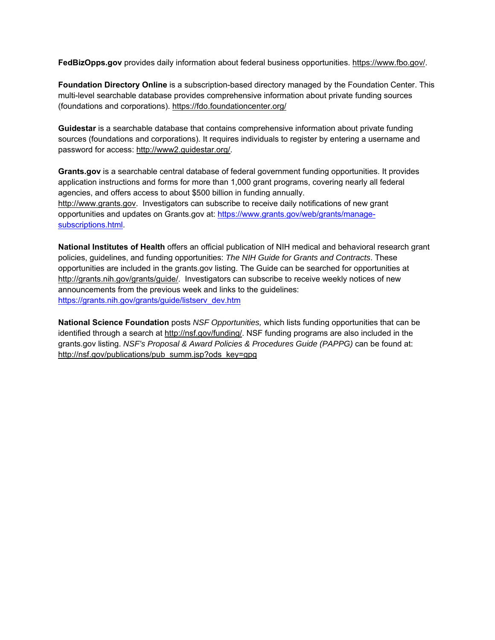**FedBizOpps.gov** provides daily information about federal business opportunities. https://www.fbo.gov/.

**Foundation Directory Online** is a subscription-based directory managed by the Foundation Center. This multi-level searchable database provides comprehensive information about private funding sources (foundations and corporations). https://fdo.foundationcenter.org/

**Guidestar** is a searchable database that contains comprehensive information about private funding sources (foundations and corporations). It requires individuals to register by entering a username and password for access: http://www2.guidestar.org/.

**Grants.gov** is a searchable central database of federal government funding opportunities. It provides application instructions and forms for more than 1,000 grant programs, covering nearly all federal agencies, and offers access to about \$500 billion in funding annually. http://www.grants.gov. Investigators can subscribe to receive daily notifications of new grant opportunities and updates on Grants.gov at: https://www.grants.gov/web/grants/managesubscriptions.html.

**National Institutes of Health** offers an official publication of NIH medical and behavioral research grant policies, guidelines, and funding opportunities: *The NIH Guide for Grants and Contracts*. These opportunities are included in the grants.gov listing. The Guide can be searched for opportunities at http://grants.nih.gov/grants/guide/. Investigators can subscribe to receive weekly notices of new announcements from the previous week and links to the guidelines: https://grants.nih.gov/grants/guide/listserv\_dev.htm

**National Science Foundation** posts *NSF Opportunities,* which lists funding opportunities that can be identified through a search at http://nsf.gov/funding/. NSF funding programs are also included in the grants.gov listing. *NSF's Proposal & Award Policies & Procedures Guide (PAPPG)* can be found at: http://nsf.gov/publications/pub\_summ.jsp?ods\_key=gpg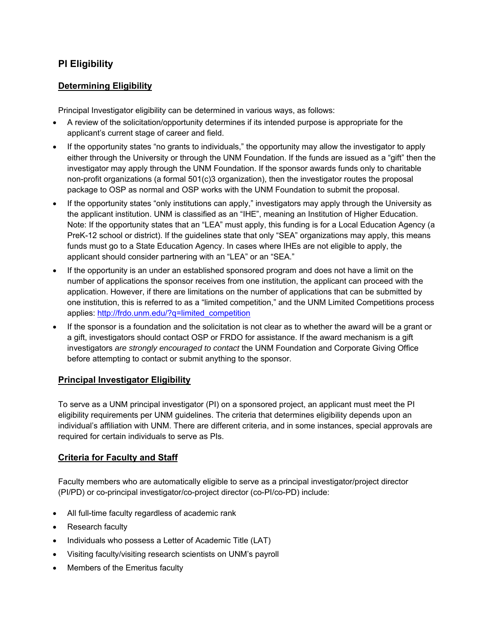# **PI Eligibility**

# **Determining Eligibility**

Principal Investigator eligibility can be determined in various ways, as follows:

- A review of the solicitation/opportunity determines if its intended purpose is appropriate for the applicant's current stage of career and field.
- If the opportunity states "no grants to individuals," the opportunity may allow the investigator to apply either through the University or through the UNM Foundation. If the funds are issued as a "gift" then the investigator may apply through the UNM Foundation. If the sponsor awards funds only to charitable non-profit organizations (a formal 501(c)3 organization), then the investigator routes the proposal package to OSP as normal and OSP works with the UNM Foundation to submit the proposal.
- If the opportunity states "only institutions can apply," investigators may apply through the University as the applicant institution. UNM is classified as an "IHE", meaning an Institution of Higher Education. Note: If the opportunity states that an "LEA" must apply, this funding is for a Local Education Agency (a PreK-12 school or district). If the guidelines state that only "SEA" organizations may apply, this means funds must go to a State Education Agency. In cases where IHEs are not eligible to apply, the applicant should consider partnering with an "LEA" or an "SEA."
- If the opportunity is an under an established sponsored program and does not have a limit on the number of applications the sponsor receives from one institution, the applicant can proceed with the application. However, if there are limitations on the number of applications that can be submitted by one institution, this is referred to as a "limited competition," and the UNM Limited Competitions process applies: http://frdo.unm.edu/?q=limited\_competition
- If the sponsor is a foundation and the solicitation is not clear as to whether the award will be a grant or a gift, investigators should contact OSP or FRDO for assistance. If the award mechanism is a gift investigators *are strongly encouraged to contact* the UNM Foundation and Corporate Giving Office before attempting to contact or submit anything to the sponsor.

# **Principal Investigator Eligibility**

To serve as a UNM principal investigator (PI) on a sponsored project, an applicant must meet the PI eligibility requirements per UNM guidelines. The criteria that determines eligibility depends upon an individual's affiliation with UNM. There are different criteria, and in some instances, special approvals are required for certain individuals to serve as PIs.

# **Criteria for Faculty and Staff**

Faculty members who are automatically eligible to serve as a principal investigator/project director (PI/PD) or co-principal investigator/co-project director (co-PI/co-PD) include:

- All full-time faculty regardless of academic rank
- Research faculty
- Individuals who possess a Letter of Academic Title (LAT)
- Visiting faculty/visiting research scientists on UNM's payroll
- Members of the Emeritus faculty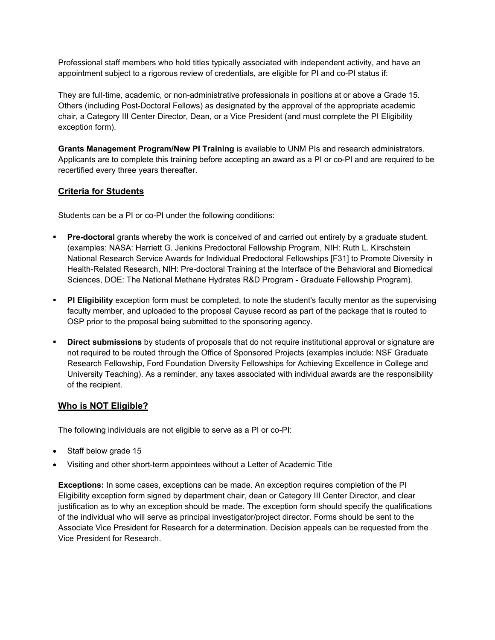Professional staff members who hold titles typically associated with independent activity, and have an appointment subject to a rigorous review of credentials, are eligible for PI and co-PI status if:

They are full-time, academic, or non-administrative professionals in positions at or above a Grade 15. Others (including Post-Doctoral Fellows) as designated by the approval of the appropriate academic chair, a Category III Center Director, Dean, or a Vice President (and must complete the PI Eligibility exception form).

**Grants Management Program/New PI Training** is available to UNM PIs and research administrators. Applicants are to complete this training before accepting an award as a PI or co-PI and are required to be recertified every three years thereafter.

# **Criteria for Students**

Students can be a PI or co-PI under the following conditions:

- **Pre-doctoral** grants whereby the work is conceived of and carried out entirely by a graduate student. (examples: NASA: Harriett G. Jenkins Predoctoral Fellowship Program, NIH: Ruth L. Kirschstein National Research Service Awards for Individual Predoctoral Fellowships [F31] to Promote Diversity in Health-Related Research, NIH: Pre-doctoral Training at the Interface of the Behavioral and Biomedical Sciences, DOE: The National Methane Hydrates R&D Program - Graduate Fellowship Program).
- **PI Eligibility** exception form must be completed, to note the student's faculty mentor as the supervising faculty member, and uploaded to the proposal Cayuse record as part of the package that is routed to OSP prior to the proposal being submitted to the sponsoring agency.
- **Direct submissions** by students of proposals that do not require institutional approval or signature are not required to be routed through the Office of Sponsored Projects (examples include: NSF Graduate Research Fellowship, Ford Foundation Diversity Fellowships for Achieving Excellence in College and University Teaching). As a reminder, any taxes associated with individual awards are the responsibility of the recipient.

# **Who is NOT Eligible?**

The following individuals are not eligible to serve as a PI or co-PI:

- Staff below grade 15
- Visiting and other short-term appointees without a Letter of Academic Title

**Exceptions:** In some cases, exceptions can be made. An exception requires completion of the PI Eligibility exception form signed by department chair, dean or Category III Center Director, and clear justification as to why an exception should be made. The exception form should specify the qualifications of the individual who will serve as principal investigator/project director. Forms should be sent to the Associate Vice President for Research for a determination. Decision appeals can be requested from the Vice President for Research.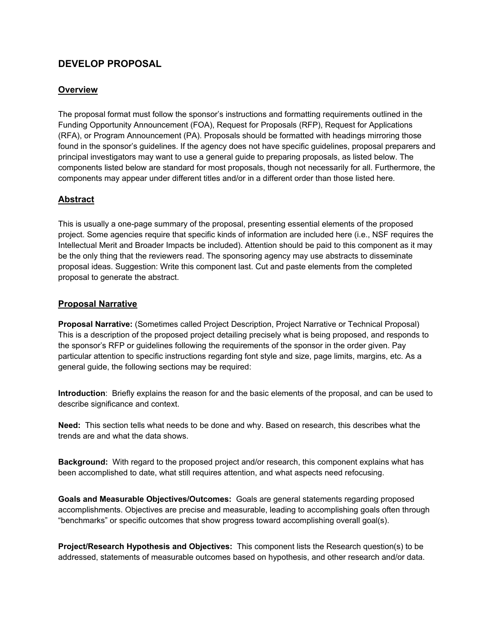# **DEVELOP PROPOSAL**

# **Overview**

The proposal format must follow the sponsor's instructions and formatting requirements outlined in the Funding Opportunity Announcement (FOA), Request for Proposals (RFP), Request for Applications (RFA), or Program Announcement (PA). Proposals should be formatted with headings mirroring those found in the sponsor's guidelines. If the agency does not have specific guidelines, proposal preparers and principal investigators may want to use a general guide to preparing proposals, as listed below. The components listed below are standard for most proposals, though not necessarily for all. Furthermore, the components may appear under different titles and/or in a different order than those listed here.

# **Abstract**

This is usually a one-page summary of the proposal, presenting essential elements of the proposed project. Some agencies require that specific kinds of information are included here (i.e., NSF requires the Intellectual Merit and Broader Impacts be included). Attention should be paid to this component as it may be the only thing that the reviewers read. The sponsoring agency may use abstracts to disseminate proposal ideas. Suggestion: Write this component last. Cut and paste elements from the completed proposal to generate the abstract.

### **Proposal Narrative**

**Proposal Narrative:** (Sometimes called Project Description, Project Narrative or Technical Proposal) This is a description of the proposed project detailing precisely what is being proposed, and responds to the sponsor's RFP or guidelines following the requirements of the sponsor in the order given. Pay particular attention to specific instructions regarding font style and size, page limits, margins, etc. As a general guide, the following sections may be required:

**Introduction**: Briefly explains the reason for and the basic elements of the proposal, and can be used to describe significance and context.

**Need:** This section tells what needs to be done and why. Based on research, this describes what the trends are and what the data shows.

**Background:** With regard to the proposed project and/or research, this component explains what has been accomplished to date, what still requires attention, and what aspects need refocusing.

**Goals and Measurable Objectives/Outcomes:** Goals are general statements regarding proposed accomplishments. Objectives are precise and measurable, leading to accomplishing goals often through "benchmarks" or specific outcomes that show progress toward accomplishing overall goal(s).

**Project/Research Hypothesis and Objectives:** This component lists the Research question(s) to be addressed, statements of measurable outcomes based on hypothesis, and other research and/or data.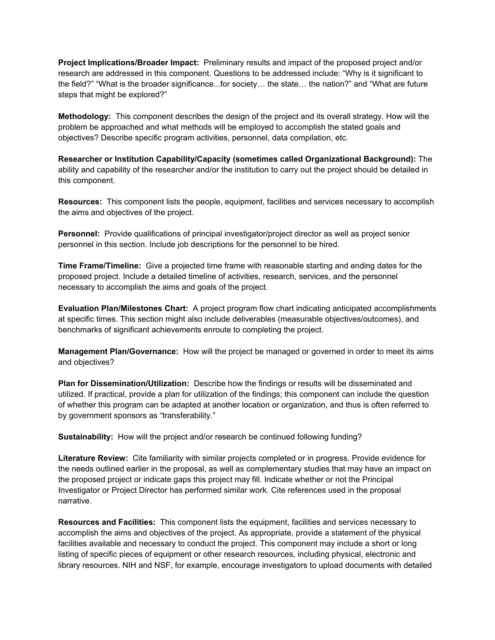**Project Implications/Broader Impact:** Preliminary results and impact of the proposed project and/or research are addressed in this component. Questions to be addressed include: "Why is it significant to the field?" "What is the broader significance...for society… the state… the nation?" and "What are future steps that might be explored?"

**Methodology:** This component describes the design of the project and its overall strategy. How will the problem be approached and what methods will be employed to accomplish the stated goals and objectives? Describe specific program activities, personnel, data compilation, etc.

**Researcher or Institution Capability/Capacity (sometimes called Organizational Background):** The ability and capability of the researcher and/or the institution to carry out the project should be detailed in this component.

**Resources:** This component lists the people, equipment, facilities and services necessary to accomplish the aims and objectives of the project.

**Personnel:** Provide qualifications of principal investigator/project director as well as project senior personnel in this section. Include job descriptions for the personnel to be hired.

**Time Frame/Timeline:** Give a projected time frame with reasonable starting and ending dates for the proposed project. Include a detailed timeline of activities, research, services, and the personnel necessary to accomplish the aims and goals of the project.

**Evaluation Plan/Milestones Chart:** A project program flow chart indicating anticipated accomplishments at specific times. This section might also include deliverables (measurable objectives/outcomes), and benchmarks of significant achievements enroute to completing the project.

**Management Plan/Governance:** How will the project be managed or governed in order to meet its aims and objectives?

**Plan for Dissemination/Utilization:** Describe how the findings or results will be disseminated and utilized. If practical, provide a plan for utilization of the findings; this component can include the question of whether this program can be adapted at another location or organization, and thus is often referred to by government sponsors as "transferability."

**Sustainability:** How will the project and/or research be continued following funding?

**Literature Review:** Cite familiarity with similar projects completed or in progress. Provide evidence for the needs outlined earlier in the proposal, as well as complementary studies that may have an impact on the proposed project or indicate gaps this project may fill. Indicate whether or not the Principal Investigator or Project Director has performed similar work. Cite references used in the proposal narrative.

**Resources and Facilities:** This component lists the equipment, facilities and services necessary to accomplish the aims and objectives of the project. As appropriate, provide a statement of the physical facilities available and necessary to conduct the project. This component may include a short or long listing of specific pieces of equipment or other research resources, including physical, electronic and library resources. NIH and NSF, for example, encourage investigators to upload documents with detailed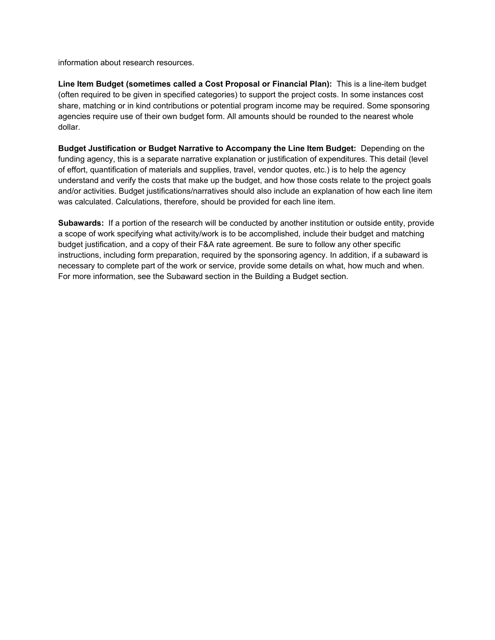information about research resources.

**Line Item Budget (sometimes called a Cost Proposal or Financial Plan):** This is a line-item budget (often required to be given in specified categories) to support the project costs. In some instances cost share, matching or in kind contributions or potential program income may be required. Some sponsoring agencies require use of their own budget form. All amounts should be rounded to the nearest whole dollar.

**Budget Justification or Budget Narrative to Accompany the Line Item Budget:** Depending on the funding agency, this is a separate narrative explanation or justification of expenditures. This detail (level of effort, quantification of materials and supplies, travel, vendor quotes, etc.) is to help the agency understand and verify the costs that make up the budget, and how those costs relate to the project goals and/or activities. Budget justifications/narratives should also include an explanation of how each line item was calculated. Calculations, therefore, should be provided for each line item.

**Subawards:** If a portion of the research will be conducted by another institution or outside entity, provide a scope of work specifying what activity/work is to be accomplished, include their budget and matching budget justification, and a copy of their F&A rate agreement. Be sure to follow any other specific instructions, including form preparation, required by the sponsoring agency. In addition, if a subaward is necessary to complete part of the work or service, provide some details on what, how much and when. For more information, see the Subaward section in the Building a Budget section.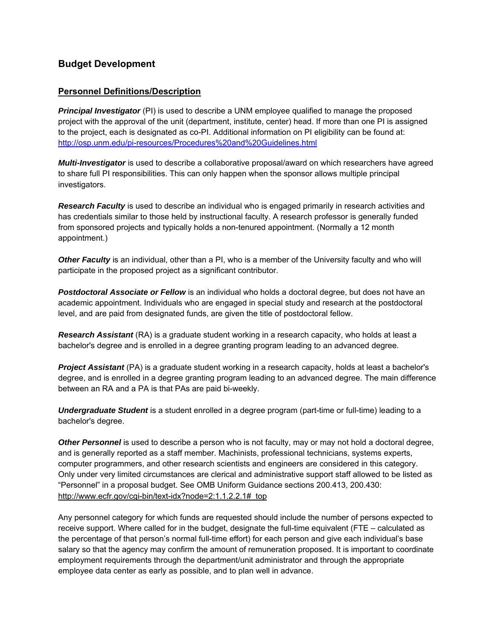# **Budget Development**

# **Personnel Definitions/Description**

*Principal Investigator* (PI) is used to describe a UNM employee qualified to manage the proposed project with the approval of the unit (department, institute, center) head. If more than one PI is assigned to the project, each is designated as co-PI. Additional information on PI eligibility can be found at: http://osp.unm.edu/pi-resources/Procedures%20and%20Guidelines.html

*Multi-Investigator* is used to describe a collaborative proposal/award on which researchers have agreed to share full PI responsibilities. This can only happen when the sponsor allows multiple principal investigators.

**Research Faculty** is used to describe an individual who is engaged primarily in research activities and has credentials similar to those held by instructional faculty. A research professor is generally funded from sponsored projects and typically holds a non-tenured appointment. (Normally a 12 month appointment.)

*Other Faculty* is an individual, other than a PI, who is a member of the University faculty and who will participate in the proposed project as a significant contributor.

*Postdoctoral Associate or Fellow* is an individual who holds a doctoral degree, but does not have an academic appointment. Individuals who are engaged in special study and research at the postdoctoral level, and are paid from designated funds, are given the title of postdoctoral fellow.

*Research Assistant* (RA) is a graduate student working in a research capacity, who holds at least a bachelor's degree and is enrolled in a degree granting program leading to an advanced degree.

*Project Assistant* (PA) is a graduate student working in a research capacity, holds at least a bachelor's degree, and is enrolled in a degree granting program leading to an advanced degree. The main difference between an RA and a PA is that PAs are paid bi-weekly.

*Undergraduate Student* is a student enrolled in a degree program (part-time or full-time) leading to a bachelor's degree.

*Other Personnel* is used to describe a person who is not faculty, may or may not hold a doctoral degree, and is generally reported as a staff member. Machinists, professional technicians, systems experts, computer programmers, and other research scientists and engineers are considered in this category. Only under very limited circumstances are clerical and administrative support staff allowed to be listed as "Personnel" in a proposal budget. See OMB Uniform Guidance sections 200.413, 200.430: http://www.ecfr.gov/cgi-bin/text-idx?node=2:1.1.2.2.1#\_top

Any personnel category for which funds are requested should include the number of persons expected to receive support. Where called for in the budget, designate the full-time equivalent (FTE – calculated as the percentage of that person's normal full-time effort) for each person and give each individual's base salary so that the agency may confirm the amount of remuneration proposed. It is important to coordinate employment requirements through the department/unit administrator and through the appropriate employee data center as early as possible, and to plan well in advance.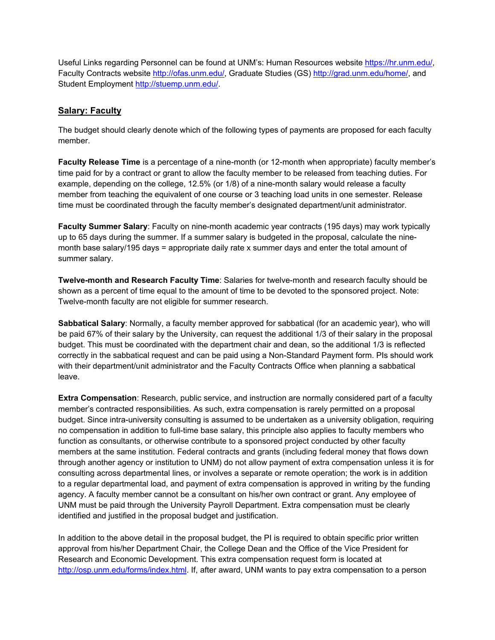Useful Links regarding Personnel can be found at UNM's: Human Resources website https://hr.unm.edu/, Faculty Contracts website http://ofas.unm.edu/, Graduate Studies (GS) http://grad.unm.edu/home/, and Student Employment http://stuemp.unm.edu/.

# **Salary: Faculty**

The budget should clearly denote which of the following types of payments are proposed for each faculty member.

**Faculty Release Time** is a percentage of a nine-month (or 12-month when appropriate) faculty member's time paid for by a contract or grant to allow the faculty member to be released from teaching duties. For example, depending on the college, 12.5% (or 1/8) of a nine-month salary would release a faculty member from teaching the equivalent of one course or 3 teaching load units in one semester. Release time must be coordinated through the faculty member's designated department/unit administrator.

**Faculty Summer Salary**: Faculty on nine-month academic year contracts (195 days) may work typically up to 65 days during the summer. If a summer salary is budgeted in the proposal, calculate the ninemonth base salary/195 days = appropriate daily rate x summer days and enter the total amount of summer salary.

**Twelve-month and Research Faculty Time**: Salaries for twelve-month and research faculty should be shown as a percent of time equal to the amount of time to be devoted to the sponsored project. Note: Twelve-month faculty are not eligible for summer research.

**Sabbatical Salary**: Normally, a faculty member approved for sabbatical (for an academic year), who will be paid 67% of their salary by the University, can request the additional 1/3 of their salary in the proposal budget. This must be coordinated with the department chair and dean, so the additional 1/3 is reflected correctly in the sabbatical request and can be paid using a Non-Standard Payment form. PIs should work with their department/unit administrator and the Faculty Contracts Office when planning a sabbatical leave.

**Extra Compensation**: Research, public service, and instruction are normally considered part of a faculty member's contracted responsibilities. As such, extra compensation is rarely permitted on a proposal budget. Since intra-university consulting is assumed to be undertaken as a university obligation, requiring no compensation in addition to full-time base salary, this principle also applies to faculty members who function as consultants, or otherwise contribute to a sponsored project conducted by other faculty members at the same institution. Federal contracts and grants (including federal money that flows down through another agency or institution to UNM) do not allow payment of extra compensation unless it is for consulting across departmental lines, or involves a separate or remote operation; the work is in addition to a regular departmental load, and payment of extra compensation is approved in writing by the funding agency. A faculty member cannot be a consultant on his/her own contract or grant. Any employee of UNM must be paid through the University Payroll Department. Extra compensation must be clearly identified and justified in the proposal budget and justification.

In addition to the above detail in the proposal budget, the PI is required to obtain specific prior written approval from his/her Department Chair, the College Dean and the Office of the Vice President for Research and Economic Development. This extra compensation request form is located at http://osp.unm.edu/forms/index.html. If, after award, UNM wants to pay extra compensation to a person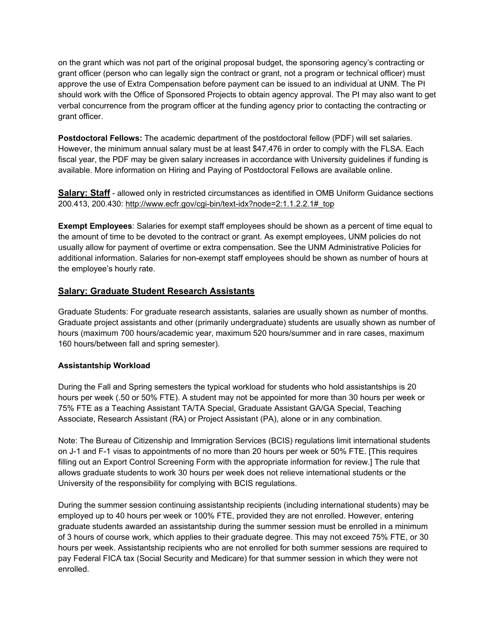on the grant which was not part of the original proposal budget, the sponsoring agency's contracting or grant officer (person who can legally sign the contract or grant, not a program or technical officer) must approve the use of Extra Compensation before payment can be issued to an individual at UNM. The PI should work with the Office of Sponsored Projects to obtain agency approval. The PI may also want to get verbal concurrence from the program officer at the funding agency prior to contacting the contracting or grant officer.

**Postdoctoral Fellows:** The academic department of the postdoctoral fellow (PDF) will set salaries. However, the minimum annual salary must be at least \$47,476 in order to comply with the FLSA. Each fiscal year, the PDF may be given salary increases in accordance with University guidelines if funding is available. More information on Hiring and Paying of Postdoctoral Fellows are available online.

**Salary: Staff** - allowed only in restricted circumstances as identified in OMB Uniform Guidance sections 200.413, 200.430: http://www.ecfr.gov/cgi-bin/text-idx?node=2:1.1.2.2.1#\_top

**Exempt Employees**: Salaries for exempt staff employees should be shown as a percent of time equal to the amount of time to be devoted to the contract or grant. As exempt employees, UNM policies do not usually allow for payment of overtime or extra compensation. See the UNM Administrative Policies for additional information. Salaries for non-exempt staff employees should be shown as number of hours at the employee's hourly rate.

# **Salary: Graduate Student Research Assistants**

Graduate Students: For graduate research assistants, salaries are usually shown as number of months. Graduate project assistants and other (primarily undergraduate) students are usually shown as number of hours (maximum 700 hours/academic year, maximum 520 hours/summer and in rare cases, maximum 160 hours/between fall and spring semester).

#### **Assistantship Workload**

During the Fall and Spring semesters the typical workload for students who hold assistantships is 20 hours per week (.50 or 50% FTE). A student may not be appointed for more than 30 hours per week or 75% FTE as a Teaching Assistant TA/TA Special, Graduate Assistant GA/GA Special, Teaching Associate, Research Assistant (RA) or Project Assistant (PA), alone or in any combination.

Note: The Bureau of Citizenship and Immigration Services (BCIS) regulations limit international students on J-1 and F-1 visas to appointments of no more than 20 hours per week or 50% FTE. [This requires filling out an Export Control Screening Form with the appropriate information for review.] The rule that allows graduate students to work 30 hours per week does not relieve international students or the University of the responsibility for complying with BCIS regulations.

During the summer session continuing assistantship recipients (including international students) may be employed up to 40 hours per week or 100% FTE, provided they are not enrolled. However, entering graduate students awarded an assistantship during the summer session must be enrolled in a minimum of 3 hours of course work, which applies to their graduate degree. This may not exceed 75% FTE, or 30 hours per week. Assistantship recipients who are not enrolled for both summer sessions are required to pay Federal FICA tax (Social Security and Medicare) for that summer session in which they were not enrolled.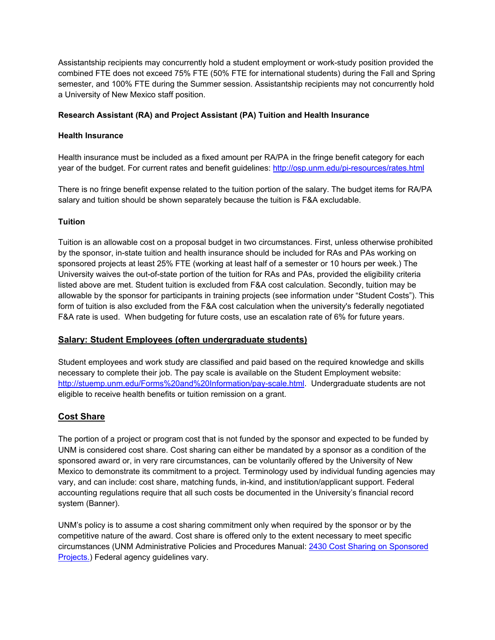Assistantship recipients may concurrently hold a student employment or work-study position provided the combined FTE does not exceed 75% FTE (50% FTE for international students) during the Fall and Spring semester, and 100% FTE during the Summer session. Assistantship recipients may not concurrently hold a University of New Mexico staff position.

### **Research Assistant (RA) and Project Assistant (PA) Tuition and Health Insurance**

#### **Health Insurance**

Health insurance must be included as a fixed amount per RA/PA in the fringe benefit category for each year of the budget. For current rates and benefit guidelines: http://osp.unm.edu/pi-resources/rates.html

There is no fringe benefit expense related to the tuition portion of the salary. The budget items for RA/PA salary and tuition should be shown separately because the tuition is F&A excludable.

### **Tuition**

Tuition is an allowable cost on a proposal budget in two circumstances. First, unless otherwise prohibited by the sponsor, in-state tuition and health insurance should be included for RAs and PAs working on sponsored projects at least 25% FTE (working at least half of a semester or 10 hours per week.) The University waives the out-of-state portion of the tuition for RAs and PAs, provided the eligibility criteria listed above are met. Student tuition is excluded from F&A cost calculation. Secondly, tuition may be allowable by the sponsor for participants in training projects (see information under "Student Costs"). This form of tuition is also excluded from the F&A cost calculation when the university's federally negotiated F&A rate is used. When budgeting for future costs, use an escalation rate of 6% for future years.

# **Salary: Student Employees (often undergraduate students)**

Student employees and work study are classified and paid based on the required knowledge and skills necessary to complete their job. The pay scale is available on the Student Employment website: http://stuemp.unm.edu/Forms%20and%20Information/pay-scale.html. Undergraduate students are not eligible to receive health benefits or tuition remission on a grant.

# **Cost Share**

The portion of a project or program cost that is not funded by the sponsor and expected to be funded by UNM is considered cost share. Cost sharing can either be mandated by a sponsor as a condition of the sponsored award or, in very rare circumstances, can be voluntarily offered by the University of New Mexico to demonstrate its commitment to a project. Terminology used by individual funding agencies may vary, and can include: cost share, matching funds, in-kind, and institution/applicant support. Federal accounting regulations require that all such costs be documented in the University's financial record system (Banner).

UNM's policy is to assume a cost sharing commitment only when required by the sponsor or by the competitive nature of the award. Cost share is offered only to the extent necessary to meet specific circumstances (UNM Administrative Policies and Procedures Manual: 2430 Cost Sharing on Sponsored Projects.) Federal agency guidelines vary.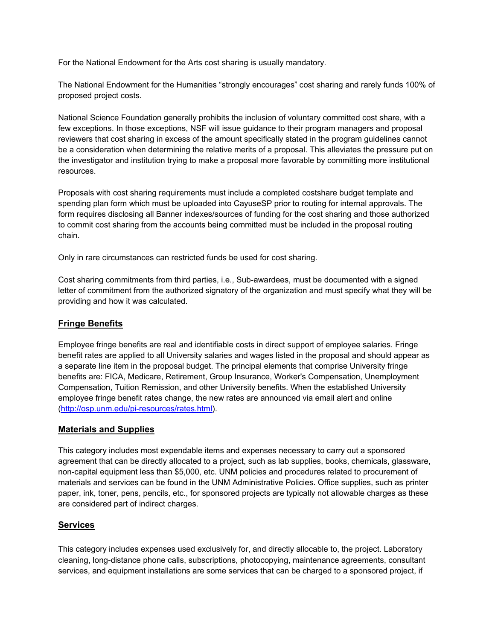For the National Endowment for the Arts cost sharing is usually mandatory.

The National Endowment for the Humanities "strongly encourages" cost sharing and rarely funds 100% of proposed project costs.

National Science Foundation generally prohibits the inclusion of voluntary committed cost share, with a few exceptions. In those exceptions, NSF will issue guidance to their program managers and proposal reviewers that cost sharing in excess of the amount specifically stated in the program guidelines cannot be a consideration when determining the relative merits of a proposal. This alleviates the pressure put on the investigator and institution trying to make a proposal more favorable by committing more institutional resources.

Proposals with cost sharing requirements must include a completed costshare budget template and spending plan form which must be uploaded into CayuseSP prior to routing for internal approvals. The form requires disclosing all Banner indexes/sources of funding for the cost sharing and those authorized to commit cost sharing from the accounts being committed must be included in the proposal routing chain.

Only in rare circumstances can restricted funds be used for cost sharing.

Cost sharing commitments from third parties, i.e., Sub-awardees, must be documented with a signed letter of commitment from the authorized signatory of the organization and must specify what they will be providing and how it was calculated.

# **Fringe Benefits**

Employee fringe benefits are real and identifiable costs in direct support of employee salaries. Fringe benefit rates are applied to all University salaries and wages listed in the proposal and should appear as a separate line item in the proposal budget. The principal elements that comprise University fringe benefits are: FICA, Medicare, Retirement, Group Insurance, Worker's Compensation, Unemployment Compensation, Tuition Remission, and other University benefits. When the established University employee fringe benefit rates change, the new rates are announced via email alert and online (http://osp.unm.edu/pi-resources/rates.html).

# **Materials and Supplies**

This category includes most expendable items and expenses necessary to carry out a sponsored agreement that can be directly allocated to a project, such as lab supplies, books, chemicals, glassware, non-capital equipment less than \$5,000, etc. UNM policies and procedures related to procurement of materials and services can be found in the UNM Administrative Policies. Office supplies, such as printer paper, ink, toner, pens, pencils, etc., for sponsored projects are typically not allowable charges as these are considered part of indirect charges.

# **Services**

This category includes expenses used exclusively for, and directly allocable to, the project. Laboratory cleaning, long-distance phone calls, subscriptions, photocopying, maintenance agreements, consultant services, and equipment installations are some services that can be charged to a sponsored project, if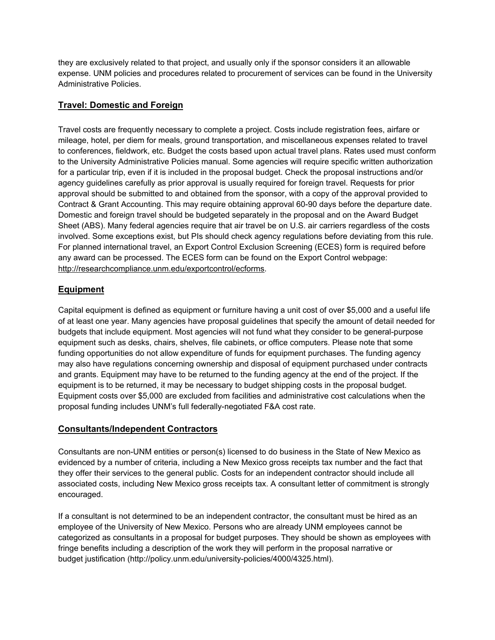they are exclusively related to that project, and usually only if the sponsor considers it an allowable expense. UNM policies and procedures related to procurement of services can be found in the University Administrative Policies.

# **Travel: Domestic and Foreign**

Travel costs are frequently necessary to complete a project. Costs include registration fees, airfare or mileage, hotel, per diem for meals, ground transportation, and miscellaneous expenses related to travel to conferences, fieldwork, etc. Budget the costs based upon actual travel plans. Rates used must conform to the University Administrative Policies manual. Some agencies will require specific written authorization for a particular trip, even if it is included in the proposal budget. Check the proposal instructions and/or agency guidelines carefully as prior approval is usually required for foreign travel. Requests for prior approval should be submitted to and obtained from the sponsor, with a copy of the approval provided to Contract & Grant Accounting. This may require obtaining approval 60-90 days before the departure date. Domestic and foreign travel should be budgeted separately in the proposal and on the Award Budget Sheet (ABS). Many federal agencies require that air travel be on U.S. air carriers regardless of the costs involved. Some exceptions exist, but PIs should check agency regulations before deviating from this rule. For planned international travel, an Export Control Exclusion Screening (ECES) form is required before any award can be processed. The ECES form can be found on the Export Control webpage: http://researchcompliance.unm.edu/exportcontrol/ecforms.

# **Equipment**

Capital equipment is defined as equipment or furniture having a unit cost of over \$5,000 and a useful life of at least one year. Many agencies have proposal guidelines that specify the amount of detail needed for budgets that include equipment. Most agencies will not fund what they consider to be general-purpose equipment such as desks, chairs, shelves, file cabinets, or office computers. Please note that some funding opportunities do not allow expenditure of funds for equipment purchases. The funding agency may also have regulations concerning ownership and disposal of equipment purchased under contracts and grants. Equipment may have to be returned to the funding agency at the end of the project. If the equipment is to be returned, it may be necessary to budget shipping costs in the proposal budget. Equipment costs over \$5,000 are excluded from facilities and administrative cost calculations when the proposal funding includes UNM's full federally-negotiated F&A cost rate.

# **Consultants/Independent Contractors**

Consultants are non-UNM entities or person(s) licensed to do business in the State of New Mexico as evidenced by a number of criteria, including a New Mexico gross receipts tax number and the fact that they offer their services to the general public. Costs for an independent contractor should include all associated costs, including New Mexico gross receipts tax. A consultant letter of commitment is strongly encouraged.

If a consultant is not determined to be an independent contractor, the consultant must be hired as an employee of the University of New Mexico. Persons who are already UNM employees cannot be categorized as consultants in a proposal for budget purposes. They should be shown as employees with fringe benefits including a description of the work they will perform in the proposal narrative or budget justification (http://policy.unm.edu/university-policies/4000/4325.html).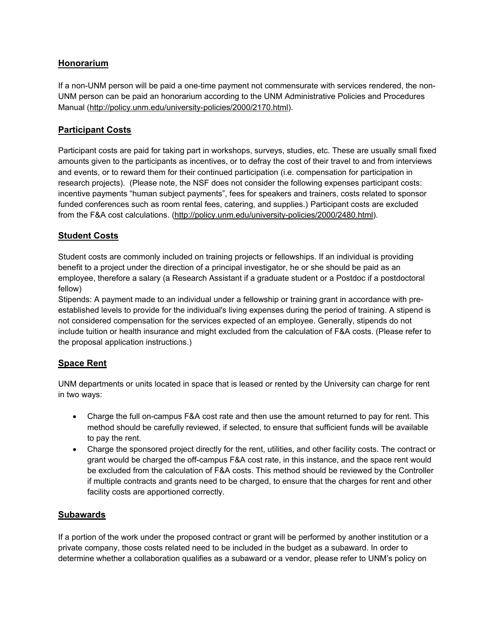# **Honorarium**

If a non-UNM person will be paid a one-time payment not commensurate with services rendered, the non-UNM person can be paid an honorarium according to the UNM Administrative Policies and Procedures Manual (http://policy.unm.edu/university-policies/2000/2170.html).

# **Participant Costs**

Participant costs are paid for taking part in workshops, surveys, studies, etc. These are usually small fixed amounts given to the participants as incentives, or to defray the cost of their travel to and from interviews and events, or to reward them for their continued participation (i.e. compensation for participation in research projects). (Please note, the NSF does not consider the following expenses participant costs: incentive payments "human subject payments", fees for speakers and trainers, costs related to sponsor funded conferences such as room rental fees, catering, and supplies.) Participant costs are excluded from the F&A cost calculations. (http://policy.unm.edu/university-policies/2000/2480.html).

# **Student Costs**

Student costs are commonly included on training projects or fellowships. If an individual is providing benefit to a project under the direction of a principal investigator, he or she should be paid as an employee, therefore a salary (a Research Assistant if a graduate student or a Postdoc if a postdoctoral fellow)

Stipends: A payment made to an individual under a fellowship or training grant in accordance with preestablished levels to provide for the individual's living expenses during the period of training. A stipend is not considered compensation for the services expected of an employee. Generally, stipends do not include tuition or health insurance and might excluded from the calculation of F&A costs. (Please refer to the proposal application instructions.)

# **Space Rent**

UNM departments or units located in space that is leased or rented by the University can charge for rent in two ways:

- Charge the full on-campus F&A cost rate and then use the amount returned to pay for rent. This method should be carefully reviewed, if selected, to ensure that sufficient funds will be available to pay the rent.
- Charge the sponsored project directly for the rent, utilities, and other facility costs. The contract or grant would be charged the off-campus F&A cost rate, in this instance, and the space rent would be excluded from the calculation of F&A costs. This method should be reviewed by the Controller if multiple contracts and grants need to be charged, to ensure that the charges for rent and other facility costs are apportioned correctly.

# **Subawards**

If a portion of the work under the proposed contract or grant will be performed by another institution or a private company, those costs related need to be included in the budget as a subaward. In order to determine whether a collaboration qualifies as a subaward or a vendor, please refer to UNM's policy on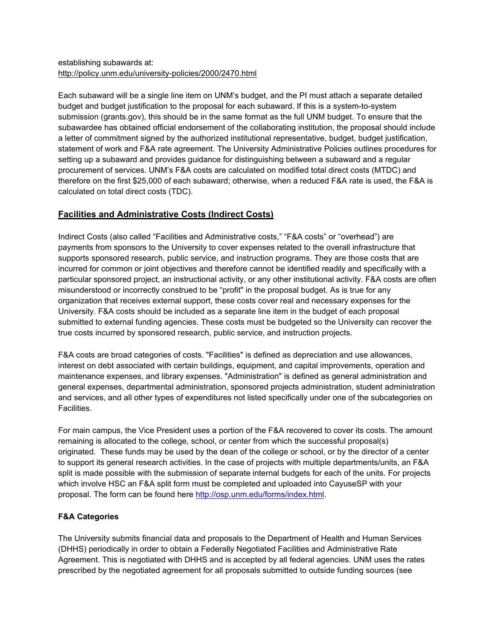### establishing subawards at: http://policy.unm.edu/university-policies/2000/2470.html

Each subaward will be a single line item on UNM's budget, and the PI must attach a separate detailed budget and budget justification to the proposal for each subaward. If this is a system-to-system submission (grants.gov), this should be in the same format as the full UNM budget. To ensure that the subawardee has obtained official endorsement of the collaborating institution, the proposal should include a letter of commitment signed by the authorized institutional representative, budget, budget justification, statement of work and F&A rate agreement. The University Administrative Policies outlines procedures for setting up a subaward and provides guidance for distinguishing between a subaward and a regular procurement of services. UNM's F&A costs are calculated on modified total direct costs (MTDC) and therefore on the first \$25,000 of each subaward; otherwise, when a reduced F&A rate is used, the F&A is calculated on total direct costs (TDC).

# **Facilities and Administrative Costs (Indirect Costs)**

Indirect Costs (also called "Facilities and Administrative costs," "F&A costs" or "overhead") are payments from sponsors to the University to cover expenses related to the overall infrastructure that supports sponsored research, public service, and instruction programs. They are those costs that are incurred for common or joint objectives and therefore cannot be identified readily and specifically with a particular sponsored project, an instructional activity, or any other institutional activity. F&A costs are often misunderstood or incorrectly construed to be "profit" in the proposal budget. As is true for any organization that receives external support, these costs cover real and necessary expenses for the University. F&A costs should be included as a separate line item in the budget of each proposal submitted to external funding agencies. These costs must be budgeted so the University can recover the true costs incurred by sponsored research, public service, and instruction projects.

F&A costs are broad categories of costs. "Facilities" is defined as depreciation and use allowances, interest on debt associated with certain buildings, equipment, and capital improvements, operation and maintenance expenses, and library expenses. "Administration" is defined as general administration and general expenses, departmental administration, sponsored projects administration, student administration and services, and all other types of expenditures not listed specifically under one of the subcategories on **Facilities** 

For main campus, the Vice President uses a portion of the F&A recovered to cover its costs. The amount remaining is allocated to the college, school, or center from which the successful proposal(s) originated. These funds may be used by the dean of the college or school, or by the director of a center to support its general research activities. In the case of projects with multiple departments/units, an F&A split is made possible with the submission of separate internal budgets for each of the units. For projects which involve HSC an F&A split form must be completed and uploaded into CayuseSP with your proposal. The form can be found here http://osp.unm.edu/forms/index.html.

# **F&A Categories**

The University submits financial data and proposals to the Department of Health and Human Services (DHHS) periodically in order to obtain a Federally Negotiated Facilities and Administrative Rate Agreement. This is negotiated with DHHS and is accepted by all federal agencies. UNM uses the rates prescribed by the negotiated agreement for all proposals submitted to outside funding sources (see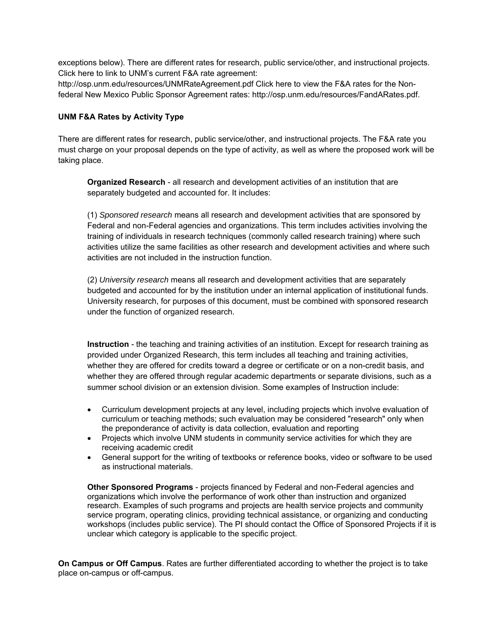exceptions below). There are different rates for research, public service/other, and instructional projects. Click here to link to UNM's current F&A rate agreement:

http://osp.unm.edu/resources/UNMRateAgreement.pdf Click here to view the F&A rates for the Nonfederal New Mexico Public Sponsor Agreement rates: http://osp.unm.edu/resources/FandARates.pdf.

#### **UNM F&A Rates by Activity Type**

There are different rates for research, public service/other, and instructional projects. The F&A rate you must charge on your proposal depends on the type of activity, as well as where the proposed work will be taking place.

**Organized Research** - all research and development activities of an institution that are separately budgeted and accounted for. It includes:

(1) *Sponsored research* means all research and development activities that are sponsored by Federal and non-Federal agencies and organizations. This term includes activities involving the training of individuals in research techniques (commonly called research training) where such activities utilize the same facilities as other research and development activities and where such activities are not included in the instruction function.

(2) *University research* means all research and development activities that are separately budgeted and accounted for by the institution under an internal application of institutional funds. University research, for purposes of this document, must be combined with sponsored research under the function of organized research.

**Instruction** - the teaching and training activities of an institution. Except for research training as provided under Organized Research, this term includes all teaching and training activities, whether they are offered for credits toward a degree or certificate or on a non-credit basis, and whether they are offered through regular academic departments or separate divisions, such as a summer school division or an extension division. Some examples of Instruction include:

- Curriculum development projects at any level, including projects which involve evaluation of curriculum or teaching methods; such evaluation may be considered "research" only when the preponderance of activity is data collection, evaluation and reporting
- Projects which involve UNM students in community service activities for which they are receiving academic credit
- General support for the writing of textbooks or reference books, video or software to be used as instructional materials.

**Other Sponsored Programs** - projects financed by Federal and non-Federal agencies and organizations which involve the performance of work other than instruction and organized research. Examples of such programs and projects are health service projects and community service program, operating clinics, providing technical assistance, or organizing and conducting workshops (includes public service). The PI should contact the Office of Sponsored Projects if it is unclear which category is applicable to the specific project.

**On Campus or Off Campus**. Rates are further differentiated according to whether the project is to take place on-campus or off-campus.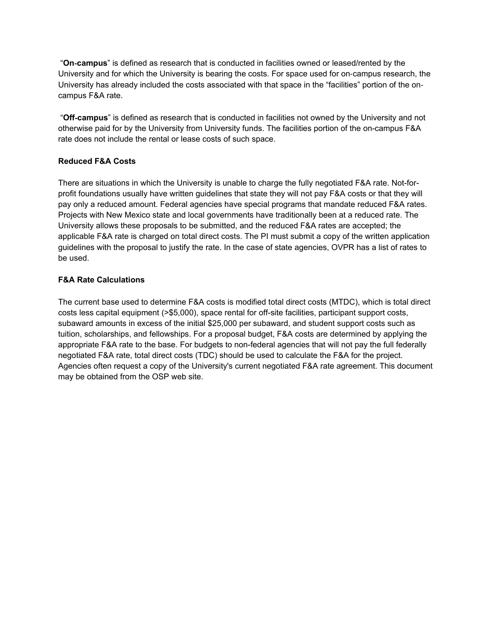"**On**‐**campus**" is defined as research that is conducted in facilities owned or leased/rented by the University and for which the University is bearing the costs. For space used for on‐campus research, the University has already included the costs associated with that space in the "facilities" portion of the on‐ campus F&A rate.

 "**Off**‐**campus**" is defined as research that is conducted in facilities not owned by the University and not otherwise paid for by the University from University funds. The facilities portion of the on-campus F&A rate does not include the rental or lease costs of such space.

#### **Reduced F&A Costs**

There are situations in which the University is unable to charge the fully negotiated F&A rate. Not-forprofit foundations usually have written guidelines that state they will not pay F&A costs or that they will pay only a reduced amount. Federal agencies have special programs that mandate reduced F&A rates. Projects with New Mexico state and local governments have traditionally been at a reduced rate. The University allows these proposals to be submitted, and the reduced F&A rates are accepted; the applicable F&A rate is charged on total direct costs. The PI must submit a copy of the written application guidelines with the proposal to justify the rate. In the case of state agencies, OVPR has a list of rates to be used.

#### **F&A Rate Calculations**

The current base used to determine F&A costs is modified total direct costs (MTDC), which is total direct costs less capital equipment (>\$5,000), space rental for off-site facilities, participant support costs, subaward amounts in excess of the initial \$25,000 per subaward, and student support costs such as tuition, scholarships, and fellowships. For a proposal budget, F&A costs are determined by applying the appropriate F&A rate to the base. For budgets to non-federal agencies that will not pay the full federally negotiated F&A rate, total direct costs (TDC) should be used to calculate the F&A for the project. Agencies often request a copy of the University's current negotiated F&A rate agreement. This document may be obtained from the OSP web site.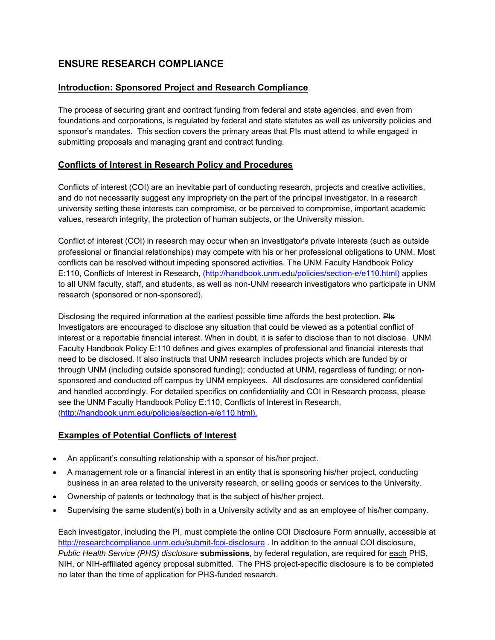# **ENSURE RESEARCH COMPLIANCE**

# **Introduction: Sponsored Project and Research Compliance**

The process of securing grant and contract funding from federal and state agencies, and even from foundations and corporations, is regulated by federal and state statutes as well as university policies and sponsor's mandates. This section covers the primary areas that PIs must attend to while engaged in submitting proposals and managing grant and contract funding.

# **Conflicts of Interest in Research Policy and Procedures**

Conflicts of interest (COI) are an inevitable part of conducting research, projects and creative activities, and do not necessarily suggest any impropriety on the part of the principal investigator. In a research university setting these interests can compromise, or be perceived to compromise, important academic values, research integrity, the protection of human subjects, or the University mission.

Conflict of interest (COI) in research may occur when an investigator's private interests (such as outside professional or financial relationships) may compete with his or her professional obligations to UNM. Most conflicts can be resolved without impeding sponsored activities. The UNM Faculty Handbook Policy E:110, Conflicts of Interest in Research, (http://handbook.unm.edu/policies/section-e/e110.html) applies to all UNM faculty, staff, and students, as well as non-UNM research investigators who participate in UNM research (sponsored or non-sponsored).

Disclosing the required information at the earliest possible time affords the best protection. Pls Investigators are encouraged to disclose any situation that could be viewed as a potential conflict of interest or a reportable financial interest. When in doubt, it is safer to disclose than to not disclose. UNM Faculty Handbook Policy E:110 defines and gives examples of professional and financial interests that need to be disclosed. It also instructs that UNM research includes projects which are funded by or through UNM (including outside sponsored funding); conducted at UNM, regardless of funding; or nonsponsored and conducted off campus by UNM employees. All disclosures are considered confidential and handled accordingly. For detailed specifics on confidentiality and COI in Research process, please see the UNM Faculty Handbook Policy E:110, Conflicts of Interest in Research, (http://handbook.unm.edu/policies/section-e/e110.html).

# **Examples of Potential Conflicts of Interest**

- An applicant's consulting relationship with a sponsor of his/her project.
- A management role or a financial interest in an entity that is sponsoring his/her project, conducting business in an area related to the university research, or selling goods or services to the University.
- Ownership of patents or technology that is the subject of his/her project.
- Supervising the same student(s) both in a University activity and as an employee of his/her company.

Each investigator, including the PI, must complete the online COI Disclosure Form annually, accessible at http://researchcompliance.unm.edu/submit-fcoi-disclosure . In addition to the annual COI disclosure, *Public Health Service (PHS) disclosure* **submissions**, by federal regulation, are required for each PHS, NIH, or NIH-affiliated agency proposal submitted. The PHS project-specific disclosure is to be completed no later than the time of application for PHS-funded research.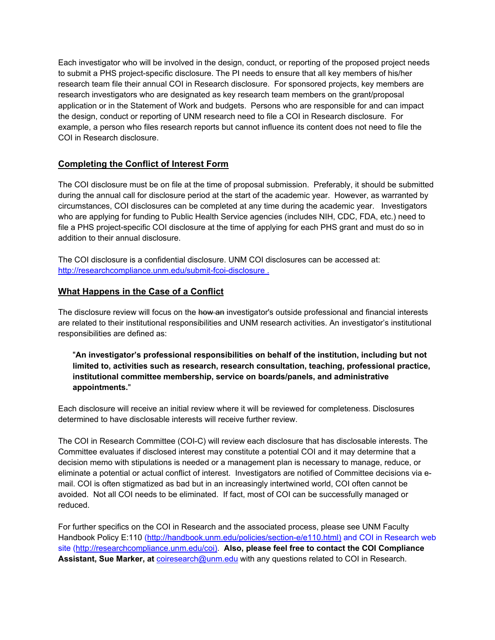Each investigator who will be involved in the design, conduct, or reporting of the proposed project needs to submit a PHS project-specific disclosure. The PI needs to ensure that all key members of his/her research team file their annual COI in Research disclosure. For sponsored projects, key members are research investigators who are designated as key research team members on the grant/proposal application or in the Statement of Work and budgets. Persons who are responsible for and can impact the design, conduct or reporting of UNM research need to file a COI in Research disclosure. For example, a person who files research reports but cannot influence its content does not need to file the COI in Research disclosure.

# **Completing the Conflict of Interest Form**

The COI disclosure must be on file at the time of proposal submission. Preferably, it should be submitted during the annual call for disclosure period at the start of the academic year. However, as warranted by circumstances, COI disclosures can be completed at any time during the academic year. Investigators who are applying for funding to Public Health Service agencies (includes NIH, CDC, FDA, etc.) need to file a PHS project-specific COI disclosure at the time of applying for each PHS grant and must do so in addition to their annual disclosure.

The COI disclosure is a confidential disclosure. UNM COI disclosures can be accessed at: http://researchcompliance.unm.edu/submit-fcoi-disclosure .

# **What Happens in the Case of a Conflict**

The disclosure review will focus on the how an investigator's outside professional and financial interests are related to their institutional responsibilities and UNM research activities. An investigator's institutional responsibilities are defined as:

### "**An investigator's professional responsibilities on behalf of the institution, including but not limited to, activities such as research, research consultation, teaching, professional practice, institutional committee membership, service on boards/panels, and administrative appointments.**"

Each disclosure will receive an initial review where it will be reviewed for completeness. Disclosures determined to have disclosable interests will receive further review.

The COI in Research Committee (COI-C) will review each disclosure that has disclosable interests. The Committee evaluates if disclosed interest may constitute a potential COI and it may determine that a decision memo with stipulations is needed or a management plan is necessary to manage, reduce, or eliminate a potential or actual conflict of interest. Investigators are notified of Committee decisions via email. COI is often stigmatized as bad but in an increasingly intertwined world, COI often cannot be avoided. Not all COI needs to be eliminated. If fact, most of COI can be successfully managed or reduced.

For further specifics on the COI in Research and the associated process, please see UNM Faculty Handbook Policy E:110 (http://handbook.unm.edu/policies/section-e/e110.html) and COI in Research web site (http://researchcompliance.unm.edu/coi). **Also, please feel free to contact the COI Compliance Assistant, Sue Marker, at** coiresearch@unm.edu with any questions related to COI in Research.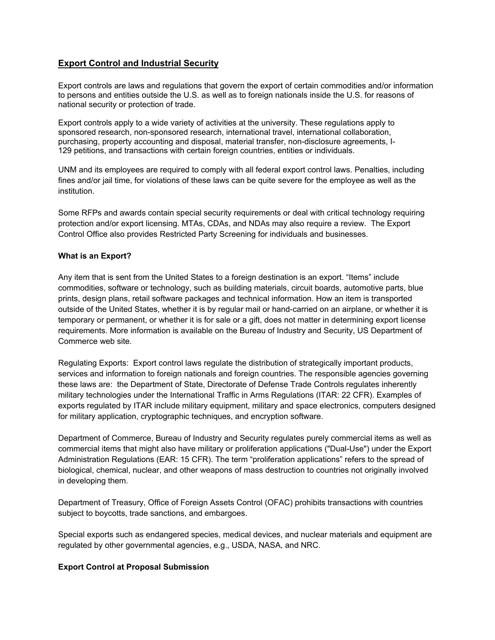### **Export Control and Industrial Security**

Export controls are laws and regulations that govern the export of certain commodities and/or information to persons and entities outside the U.S. as well as to foreign nationals inside the U.S. for reasons of national security or protection of trade.

Export controls apply to a wide variety of activities at the university. These regulations apply to sponsored research, non-sponsored research, international travel, international collaboration, purchasing, property accounting and disposal, material transfer, non-disclosure agreements, I-129 petitions, and transactions with certain foreign countries, entities or individuals.

UNM and its employees are required to comply with all federal export control laws. Penalties, including fines and/or jail time, for violations of these laws can be quite severe for the employee as well as the institution.

Some RFPs and awards contain special security requirements or deal with critical technology requiring protection and/or export licensing. MTAs, CDAs, and NDAs may also require a review. The Export Control Office also provides Restricted Party Screening for individuals and businesses.

#### **What is an Export?**

Any item that is sent from the United States to a foreign destination is an export. "Items" include commodities, software or technology, such as building materials, circuit boards, automotive parts, blue prints, design plans, retail software packages and technical information. How an item is transported outside of the United States, whether it is by regular mail or hand-carried on an airplane, or whether it is temporary or permanent, or whether it is for sale or a gift, does not matter in determining export license requirements. More information is available on the Bureau of Industry and Security, US Department of Commerce web site.

Regulating Exports: Export control laws regulate the distribution of strategically important products, services and information to foreign nationals and foreign countries. The responsible agencies governing these laws are: the Department of State, Directorate of Defense Trade Controls regulates inherently military technologies under the International Traffic in Arms Regulations (ITAR: 22 CFR). Examples of exports regulated by ITAR include military equipment, military and space electronics, computers designed for military application, cryptographic techniques, and encryption software.

Department of Commerce, Bureau of Industry and Security regulates purely commercial items as well as commercial items that might also have military or proliferation applications ("Dual-Use") under the Export Administration Regulations (EAR: 15 CFR). The term "proliferation applications" refers to the spread of biological, chemical, nuclear, and other weapons of mass destruction to countries not originally involved in developing them.

Department of Treasury, Office of Foreign Assets Control (OFAC) prohibits transactions with countries subject to boycotts, trade sanctions, and embargoes.

Special exports such as endangered species, medical devices, and nuclear materials and equipment are regulated by other governmental agencies, e.g., USDA, NASA, and NRC.

#### **Export Control at Proposal Submission**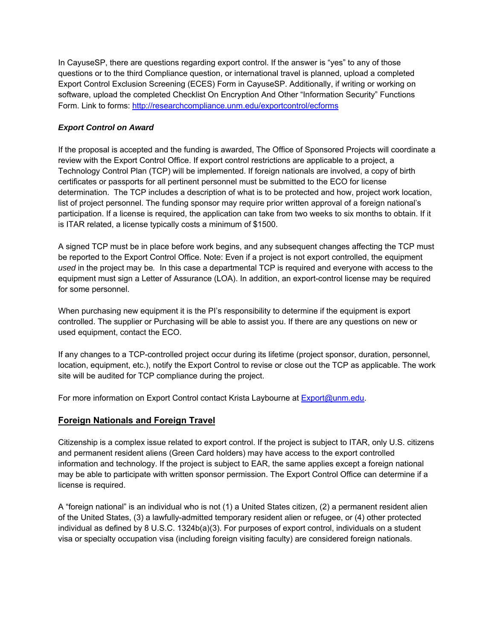In CayuseSP, there are questions regarding export control. If the answer is "yes" to any of those questions or to the third Compliance question, or international travel is planned, upload a completed Export Control Exclusion Screening (ECES) Form in CayuseSP. Additionally, if writing or working on software, upload the completed Checklist On Encryption And Other "Information Security" Functions Form. Link to forms: http://researchcompliance.unm.edu/exportcontrol/ecforms

# *Export Control on Award*

If the proposal is accepted and the funding is awarded, The Office of Sponsored Projects will coordinate a review with the Export Control Office. If export control restrictions are applicable to a project, a Technology Control Plan (TCP) will be implemented. If foreign nationals are involved, a copy of birth certificates or passports for all pertinent personnel must be submitted to the ECO for license determination. The TCP includes a description of what is to be protected and how, project work location, list of project personnel. The funding sponsor may require prior written approval of a foreign national's participation. If a license is required, the application can take from two weeks to six months to obtain. If it is ITAR related, a license typically costs a minimum of \$1500.

A signed TCP must be in place before work begins, and any subsequent changes affecting the TCP must be reported to the Export Control Office. Note: Even if a project is not export controlled, the equipment *used* in the project may be*.* In this case a departmental TCP is required and everyone with access to the equipment must sign a Letter of Assurance (LOA). In addition, an export-control license may be required for some personnel.

When purchasing new equipment it is the PI's responsibility to determine if the equipment is export controlled. The supplier or Purchasing will be able to assist you. If there are any questions on new or used equipment, contact the ECO.

If any changes to a TCP-controlled project occur during its lifetime (project sponsor, duration, personnel, location, equipment, etc.), notify the Export Control to revise or close out the TCP as applicable. The work site will be audited for TCP compliance during the project.

For more information on Export Control contact Krista Laybourne at Export@unm.edu.

#### **Foreign Nationals and Foreign Travel**

Citizenship is a complex issue related to export control. If the project is subject to ITAR, only U.S. citizens and permanent resident aliens (Green Card holders) may have access to the export controlled information and technology. If the project is subject to EAR, the same applies except a foreign national may be able to participate with written sponsor permission. The Export Control Office can determine if a license is required.

A "foreign national" is an individual who is not (1) a United States citizen, (2) a permanent resident alien of the United States, (3) a lawfully-admitted temporary resident alien or refugee, or (4) other protected individual as defined by 8 U.S.C. 1324b(a)(3). For purposes of export control, individuals on a student visa or specialty occupation visa (including foreign visiting faculty) are considered foreign nationals.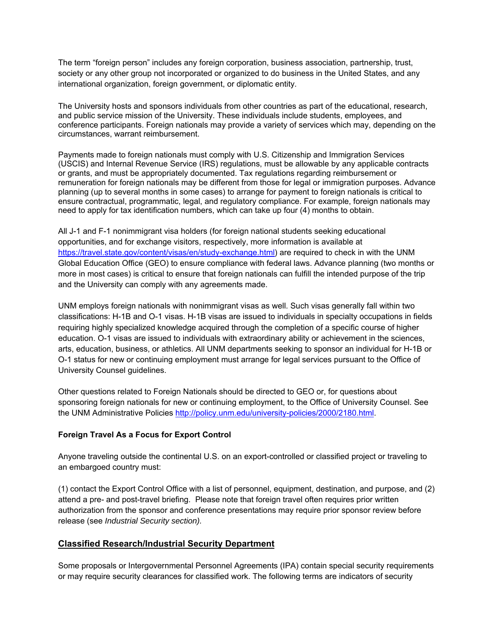The term "foreign person" includes any foreign corporation, business association, partnership, trust, society or any other group not incorporated or organized to do business in the United States, and any international organization, foreign government, or diplomatic entity.

The University hosts and sponsors individuals from other countries as part of the educational, research, and public service mission of the University. These individuals include students, employees, and conference participants. Foreign nationals may provide a variety of services which may, depending on the circumstances, warrant reimbursement.

Payments made to foreign nationals must comply with U.S. Citizenship and Immigration Services (USCIS) and Internal Revenue Service (IRS) regulations, must be allowable by any applicable contracts or grants, and must be appropriately documented. Tax regulations regarding reimbursement or remuneration for foreign nationals may be different from those for legal or immigration purposes. Advance planning (up to several months in some cases) to arrange for payment to foreign nationals is critical to ensure contractual, programmatic, legal, and regulatory compliance. For example, foreign nationals may need to apply for tax identification numbers, which can take up four (4) months to obtain.

All J-1 and F-1 nonimmigrant visa holders (for foreign national students seeking educational opportunities, and for exchange visitors, respectively, more information is available at https://travel.state.gov/content/visas/en/study-exchange.html) are required to check in with the UNM Global Education Office (GEO) to ensure compliance with federal laws. Advance planning (two months or more in most cases) is critical to ensure that foreign nationals can fulfill the intended purpose of the trip and the University can comply with any agreements made.

UNM employs foreign nationals with nonimmigrant visas as well. Such visas generally fall within two classifications: H-1B and O-1 visas. H-1B visas are issued to individuals in specialty occupations in fields requiring highly specialized knowledge acquired through the completion of a specific course of higher education. O-1 visas are issued to individuals with extraordinary ability or achievement in the sciences, arts, education, business, or athletics. All UNM departments seeking to sponsor an individual for H-1B or O-1 status for new or continuing employment must arrange for legal services pursuant to the Office of University Counsel guidelines.

Other questions related to Foreign Nationals should be directed to GEO or, for questions about sponsoring foreign nationals for new or continuing employment, to the Office of University Counsel. See the UNM Administrative Policies http://policy.unm.edu/university-policies/2000/2180.html.

#### **Foreign Travel As a Focus for Export Control**

Anyone traveling outside the continental U.S. on an export-controlled or classified project or traveling to an embargoed country must:

(1) contact the Export Control Office with a list of personnel, equipment, destination, and purpose, and (2) attend a pre- and post-travel briefing. Please note that foreign travel often requires prior written authorization from the sponsor and conference presentations may require prior sponsor review before release (see *Industrial Security section).*

# **Classified Research/Industrial Security Department**

Some proposals or Intergovernmental Personnel Agreements (IPA) contain special security requirements or may require security clearances for classified work. The following terms are indicators of security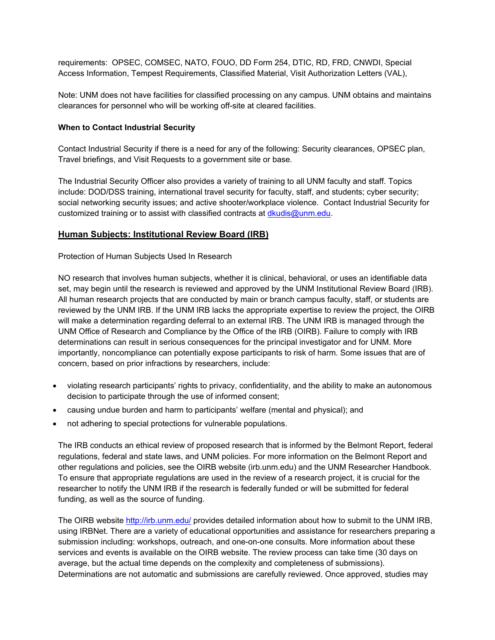requirements: OPSEC, COMSEC, NATO, FOUO, DD Form 254, DTIC, RD, FRD, CNWDI, Special Access Information, Tempest Requirements, Classified Material, Visit Authorization Letters (VAL),

Note: UNM does not have facilities for classified processing on any campus. UNM obtains and maintains clearances for personnel who will be working off-site at cleared facilities.

#### **When to Contact Industrial Security**

Contact Industrial Security if there is a need for any of the following: Security clearances, OPSEC plan, Travel briefings, and Visit Requests to a government site or base.

The Industrial Security Officer also provides a variety of training to all UNM faculty and staff. Topics include: DOD/DSS training, international travel security for faculty, staff, and students; cyber security; social networking security issues; and active shooter/workplace violence. Contact Industrial Security for customized training or to assist with classified contracts at dkudis@unm.edu.

#### **Human Subjects: Institutional Review Board (IRB)**

Protection of Human Subjects Used In Research

NO research that involves human subjects, whether it is clinical, behavioral, or uses an identifiable data set, may begin until the research is reviewed and approved by the UNM Institutional Review Board (IRB). All human research projects that are conducted by main or branch campus faculty, staff, or students are reviewed by the UNM IRB. If the UNM IRB lacks the appropriate expertise to review the project, the OIRB will make a determination regarding deferral to an external IRB. The UNM IRB is managed through the UNM Office of Research and Compliance by the Office of the IRB (OIRB). Failure to comply with IRB determinations can result in serious consequences for the principal investigator and for UNM. More importantly, noncompliance can potentially expose participants to risk of harm. Some issues that are of concern, based on prior infractions by researchers, include:

- violating research participants' rights to privacy, confidentiality, and the ability to make an autonomous decision to participate through the use of informed consent;
- causing undue burden and harm to participants' welfare (mental and physical); and
- not adhering to special protections for vulnerable populations.

The IRB conducts an ethical review of proposed research that is informed by the Belmont Report, federal regulations, federal and state laws, and UNM policies. For more information on the Belmont Report and other regulations and policies, see the OIRB website (irb.unm.edu) and the UNM Researcher Handbook. To ensure that appropriate regulations are used in the review of a research project, it is crucial for the researcher to notify the UNM IRB if the research is federally funded or will be submitted for federal funding, as well as the source of funding.

The OIRB website http://irb.unm.edu/ provides detailed information about how to submit to the UNM IRB, using IRBNet. There are a variety of educational opportunities and assistance for researchers preparing a submission including: workshops, outreach, and one-on-one consults. More information about these services and events is available on the OIRB website. The review process can take time (30 days on average, but the actual time depends on the complexity and completeness of submissions). Determinations are not automatic and submissions are carefully reviewed. Once approved, studies may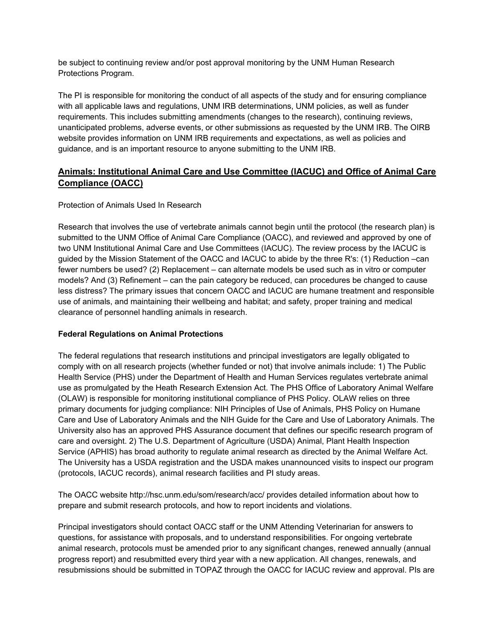be subject to continuing review and/or post approval monitoring by the UNM Human Research Protections Program.

The PI is responsible for monitoring the conduct of all aspects of the study and for ensuring compliance with all applicable laws and regulations, UNM IRB determinations, UNM policies, as well as funder requirements. This includes submitting amendments (changes to the research), continuing reviews, unanticipated problems, adverse events, or other submissions as requested by the UNM IRB. The OIRB website provides information on UNM IRB requirements and expectations, as well as policies and guidance, and is an important resource to anyone submitting to the UNM IRB.

# **Animals: Institutional Animal Care and Use Committee (IACUC) and Office of Animal Care Compliance (OACC)**

### Protection of Animals Used In Research

Research that involves the use of vertebrate animals cannot begin until the protocol (the research plan) is submitted to the UNM Office of Animal Care Compliance (OACC), and reviewed and approved by one of two UNM Institutional Animal Care and Use Committees (IACUC). The review process by the IACUC is guided by the Mission Statement of the OACC and IACUC to abide by the three R's: (1) Reduction –can fewer numbers be used? (2) Replacement – can alternate models be used such as in vitro or computer models? And (3) Refinement – can the pain category be reduced, can procedures be changed to cause less distress? The primary issues that concern OACC and IACUC are humane treatment and responsible use of animals, and maintaining their wellbeing and habitat; and safety, proper training and medical clearance of personnel handling animals in research.

#### **Federal Regulations on Animal Protections**

The federal regulations that research institutions and principal investigators are legally obligated to comply with on all research projects (whether funded or not) that involve animals include: 1) The Public Health Service (PHS) under the Department of Health and Human Services regulates vertebrate animal use as promulgated by the Heath Research Extension Act. The PHS Office of Laboratory Animal Welfare (OLAW) is responsible for monitoring institutional compliance of PHS Policy. OLAW relies on three primary documents for judging compliance: NIH Principles of Use of Animals, PHS Policy on Humane Care and Use of Laboratory Animals and the NIH Guide for the Care and Use of Laboratory Animals. The University also has an approved PHS Assurance document that defines our specific research program of care and oversight. 2) The U.S. Department of Agriculture (USDA) Animal, Plant Health Inspection Service (APHIS) has broad authority to regulate animal research as directed by the Animal Welfare Act. The University has a USDA registration and the USDA makes unannounced visits to inspect our program (protocols, IACUC records), animal research facilities and PI study areas.

The OACC website http://hsc.unm.edu/som/research/acc/ provides detailed information about how to prepare and submit research protocols, and how to report incidents and violations.

Principal investigators should contact OACC staff or the UNM Attending Veterinarian for answers to questions, for assistance with proposals, and to understand responsibilities. For ongoing vertebrate animal research, protocols must be amended prior to any significant changes, renewed annually (annual progress report) and resubmitted every third year with a new application. All changes, renewals, and resubmissions should be submitted in TOPAZ through the OACC for IACUC review and approval. PIs are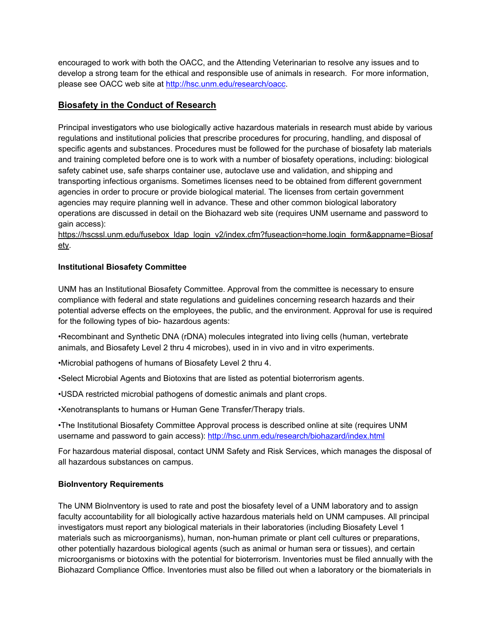encouraged to work with both the OACC, and the Attending Veterinarian to resolve any issues and to develop a strong team for the ethical and responsible use of animals in research. For more information, please see OACC web site at http://hsc.unm.edu/research/oacc.

# **Biosafety in the Conduct of Research**

Principal investigators who use biologically active hazardous materials in research must abide by various regulations and institutional policies that prescribe procedures for procuring, handling, and disposal of specific agents and substances. Procedures must be followed for the purchase of biosafety lab materials and training completed before one is to work with a number of biosafety operations, including: biological safety cabinet use, safe sharps container use, autoclave use and validation, and shipping and transporting infectious organisms. Sometimes licenses need to be obtained from different government agencies in order to procure or provide biological material. The licenses from certain government agencies may require planning well in advance. These and other common biological laboratory operations are discussed in detail on the Biohazard web site (requires UNM username and password to gain access):

https://hscssl.unm.edu/fusebox\_ldap\_login\_v2/index.cfm?fuseaction=home.login\_form&appname=Biosaf ety.

### **Institutional Biosafety Committee**

UNM has an Institutional Biosafety Committee. Approval from the committee is necessary to ensure compliance with federal and state regulations and guidelines concerning research hazards and their potential adverse effects on the employees, the public, and the environment. Approval for use is required for the following types of bio- hazardous agents:

•Recombinant and Synthetic DNA (rDNA) molecules integrated into living cells (human, vertebrate animals, and Biosafety Level 2 thru 4 microbes), used in in vivo and in vitro experiments.

•Microbial pathogens of humans of Biosafety Level 2 thru 4.

•Select Microbial Agents and Biotoxins that are listed as potential bioterrorism agents.

•USDA restricted microbial pathogens of domestic animals and plant crops.

•Xenotransplants to humans or Human Gene Transfer/Therapy trials.

•The Institutional Biosafety Committee Approval process is described online at site (requires UNM username and password to gain access): http://hsc.unm.edu/research/biohazard/index.html

For hazardous material disposal, contact UNM Safety and Risk Services, which manages the disposal of all hazardous substances on campus.

#### **BioInventory Requirements**

The UNM BioInventory is used to rate and post the biosafety level of a UNM laboratory and to assign faculty accountability for all biologically active hazardous materials held on UNM campuses. All principal investigators must report any biological materials in their laboratories (including Biosafety Level 1 materials such as microorganisms), human, non-human primate or plant cell cultures or preparations, other potentially hazardous biological agents (such as animal or human sera or tissues), and certain microorganisms or biotoxins with the potential for bioterrorism. Inventories must be filed annually with the Biohazard Compliance Office. Inventories must also be filled out when a laboratory or the biomaterials in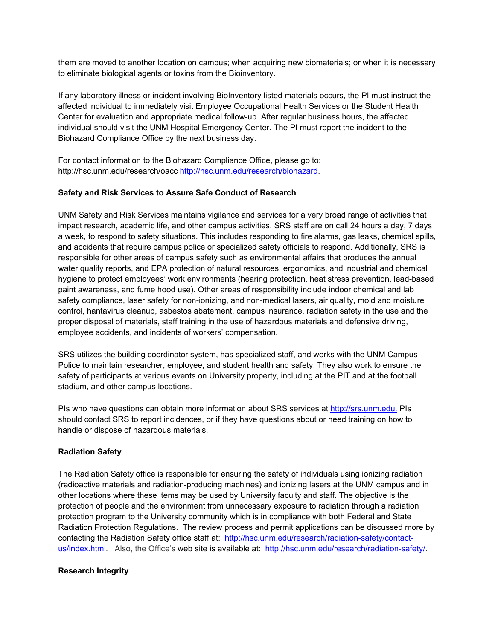them are moved to another location on campus; when acquiring new biomaterials; or when it is necessary to eliminate biological agents or toxins from the Bioinventory.

If any laboratory illness or incident involving BioInventory listed materials occurs, the PI must instruct the affected individual to immediately visit Employee Occupational Health Services or the Student Health Center for evaluation and appropriate medical follow-up. After regular business hours, the affected individual should visit the UNM Hospital Emergency Center. The PI must report the incident to the Biohazard Compliance Office by the next business day.

For contact information to the Biohazard Compliance Office, please go to: http://hsc.unm.edu/research/oacc http://hsc.unm.edu/research/biohazard.

#### **Safety and Risk Services to Assure Safe Conduct of Research**

UNM Safety and Risk Services maintains vigilance and services for a very broad range of activities that impact research, academic life, and other campus activities. SRS staff are on call 24 hours a day, 7 days a week, to respond to safety situations. This includes responding to fire alarms, gas leaks, chemical spills, and accidents that require campus police or specialized safety officials to respond. Additionally, SRS is responsible for other areas of campus safety such as environmental affairs that produces the annual water quality reports, and EPA protection of natural resources, ergonomics, and industrial and chemical hygiene to protect employees' work environments (hearing protection, heat stress prevention, lead-based paint awareness, and fume hood use). Other areas of responsibility include indoor chemical and lab safety compliance, laser safety for non-ionizing, and non-medical lasers, air quality, mold and moisture control, hantavirus cleanup, asbestos abatement, campus insurance, radiation safety in the use and the proper disposal of materials, staff training in the use of hazardous materials and defensive driving, employee accidents, and incidents of workers' compensation.

SRS utilizes the building coordinator system, has specialized staff, and works with the UNM Campus Police to maintain researcher, employee, and student health and safety. They also work to ensure the safety of participants at various events on University property, including at the PIT and at the football stadium, and other campus locations.

PIs who have questions can obtain more information about SRS services at http://srs.unm.edu. PIs should contact SRS to report incidences, or if they have questions about or need training on how to handle or dispose of hazardous materials.

#### **Radiation Safety**

The Radiation Safety office is responsible for ensuring the safety of individuals using ionizing radiation (radioactive materials and radiation-producing machines) and ionizing lasers at the UNM campus and in other locations where these items may be used by University faculty and staff. The objective is the protection of people and the environment from unnecessary exposure to radiation through a radiation protection program to the University community which is in compliance with both Federal and State Radiation Protection Regulations. The review process and permit applications can be discussed more by contacting the Radiation Safety office staff at: http://hsc.unm.edu/research/radiation-safety/contactus/index.html. Also, the Office's web site is available at: http://hsc.unm.edu/research/radiation-safety/.

#### **Research Integrity**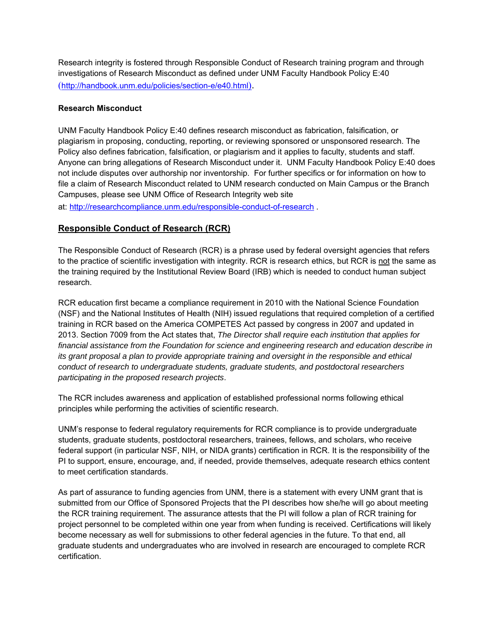Research integrity is fostered through Responsible Conduct of Research training program and through investigations of Research Misconduct as defined under UNM Faculty Handbook Policy E:40 (http://handbook.unm.edu/policies/section-e/e40.html).

### **Research Misconduct**

UNM Faculty Handbook Policy E:40 defines research misconduct as fabrication, falsification, or plagiarism in proposing, conducting, reporting, or reviewing sponsored or unsponsored research. The Policy also defines fabrication, falsification, or plagiarism and it applies to faculty, students and staff. Anyone can bring allegations of Research Misconduct under it. UNM Faculty Handbook Policy E:40 does not include disputes over authorship nor inventorship. For further specifics or for information on how to file a claim of Research Misconduct related to UNM research conducted on Main Campus or the Branch Campuses, please see UNM Office of Research Integrity web site

at: http://researchcompliance.unm.edu/responsible-conduct-of-research .

# **Responsible Conduct of Research (RCR)**

The Responsible Conduct of Research (RCR) is a phrase used by federal oversight agencies that refers to the practice of scientific investigation with integrity. RCR is research ethics, but RCR is not the same as the training required by the Institutional Review Board (IRB) which is needed to conduct human subject research.

RCR education first became a compliance requirement in 2010 with the National Science Foundation (NSF) and the National Institutes of Health (NIH) issued regulations that required completion of a certified training in RCR based on the America COMPETES Act passed by congress in 2007 and updated in 2013. Section 7009 from the Act states that, *The Director shall require each institution that applies for financial assistance from the Foundation for science and engineering research and education describe in its grant proposal a plan to provide appropriate training and oversight in the responsible and ethical conduct of research to undergraduate students, graduate students, and postdoctoral researchers participating in the proposed research projects*.

The RCR includes awareness and application of established professional norms following ethical principles while performing the activities of scientific research.

UNM's response to federal regulatory requirements for RCR compliance is to provide undergraduate students, graduate students, postdoctoral researchers, trainees, fellows, and scholars, who receive federal support (in particular NSF, NIH, or NIDA grants) certification in RCR. It is the responsibility of the PI to support, ensure, encourage, and, if needed, provide themselves, adequate research ethics content to meet certification standards.

As part of assurance to funding agencies from UNM, there is a statement with every UNM grant that is submitted from our Office of Sponsored Projects that the PI describes how she/he will go about meeting the RCR training requirement. The assurance attests that the PI will follow a plan of RCR training for project personnel to be completed within one year from when funding is received. Certifications will likely become necessary as well for submissions to other federal agencies in the future. To that end, all graduate students and undergraduates who are involved in research are encouraged to complete RCR certification.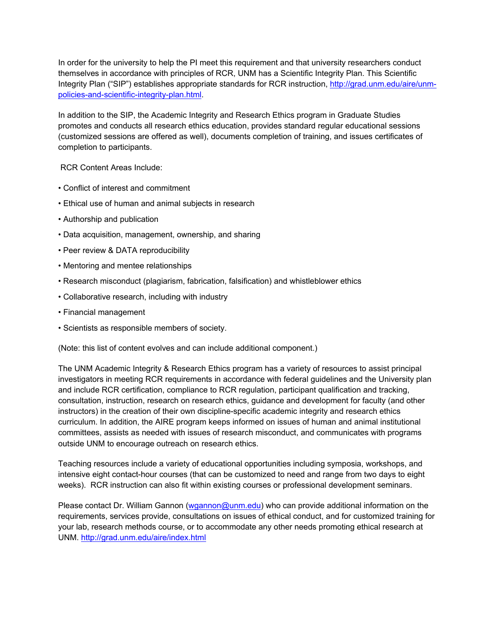In order for the university to help the PI meet this requirement and that university researchers conduct themselves in accordance with principles of RCR, UNM has a Scientific Integrity Plan. This Scientific Integrity Plan ("SIP") establishes appropriate standards for RCR instruction, http://grad.unm.edu/aire/unmpolicies-and-scientific-integrity-plan.html.

In addition to the SIP, the Academic Integrity and Research Ethics program in Graduate Studies promotes and conducts all research ethics education, provides standard regular educational sessions (customized sessions are offered as well), documents completion of training, and issues certificates of completion to participants.

RCR Content Areas Include:

- Conflict of interest and commitment
- Ethical use of human and animal subjects in research
- Authorship and publication
- Data acquisition, management, ownership, and sharing
- Peer review & DATA reproducibility
- Mentoring and mentee relationships
- Research misconduct (plagiarism, fabrication, falsification) and whistleblower ethics
- Collaborative research, including with industry
- Financial management
- Scientists as responsible members of society.

(Note: this list of content evolves and can include additional component.)

The UNM Academic Integrity & Research Ethics program has a variety of resources to assist principal investigators in meeting RCR requirements in accordance with federal guidelines and the University plan and include RCR certification, compliance to RCR regulation, participant qualification and tracking, consultation, instruction, research on research ethics, guidance and development for faculty (and other instructors) in the creation of their own discipline-specific academic integrity and research ethics curriculum. In addition, the AIRE program keeps informed on issues of human and animal institutional committees, assists as needed with issues of research misconduct, and communicates with programs outside UNM to encourage outreach on research ethics.

Teaching resources include a variety of educational opportunities including symposia, workshops, and intensive eight contact-hour courses (that can be customized to need and range from two days to eight weeks). RCR instruction can also fit within existing courses or professional development seminars.

Please contact Dr. William Gannon (wgannon@unm.edu) who can provide additional information on the requirements, services provide, consultations on issues of ethical conduct, and for customized training for your lab, research methods course, or to accommodate any other needs promoting ethical research at UNM. http://grad.unm.edu/aire/index.html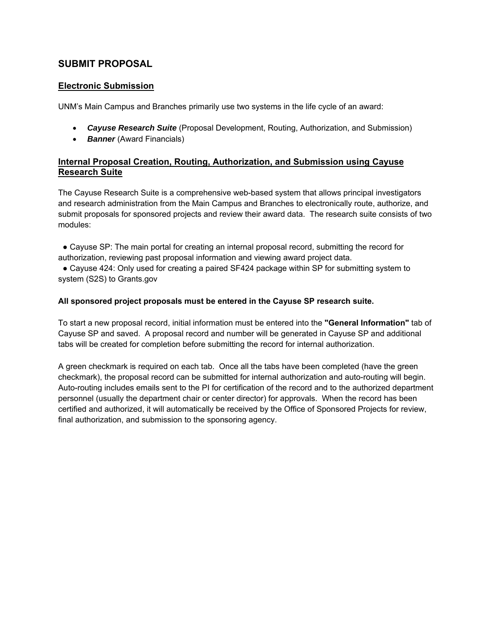# **SUBMIT PROPOSAL**

# **Electronic Submission**

UNM's Main Campus and Branches primarily use two systems in the life cycle of an award:

- *Cayuse Research Suite* (Proposal Development, Routing, Authorization, and Submission)
- **Banner** (Award Financials)

# **Internal Proposal Creation, Routing, Authorization, and Submission using Cayuse Research Suite**

The Cayuse Research Suite is a comprehensive web-based system that allows principal investigators and research administration from the Main Campus and Branches to electronically route, authorize, and submit proposals for sponsored projects and review their award data. The research suite consists of two modules:

• Cayuse SP: The main portal for creating an internal proposal record, submitting the record for authorization, reviewing past proposal information and viewing award project data.

• Cayuse 424: Only used for creating a paired SF424 package within SP for submitting system to system (S2S) to Grants.gov

#### **All sponsored project proposals must be entered in the Cayuse SP research suite.**

To start a new proposal record, initial information must be entered into the **"General Information"** tab of Cayuse SP and saved. A proposal record and number will be generated in Cayuse SP and additional tabs will be created for completion before submitting the record for internal authorization.

A green checkmark is required on each tab. Once all the tabs have been completed (have the green checkmark), the proposal record can be submitted for internal authorization and auto-routing will begin. Auto-routing includes emails sent to the PI for certification of the record and to the authorized department personnel (usually the department chair or center director) for approvals. When the record has been certified and authorized, it will automatically be received by the Office of Sponsored Projects for review, final authorization, and submission to the sponsoring agency.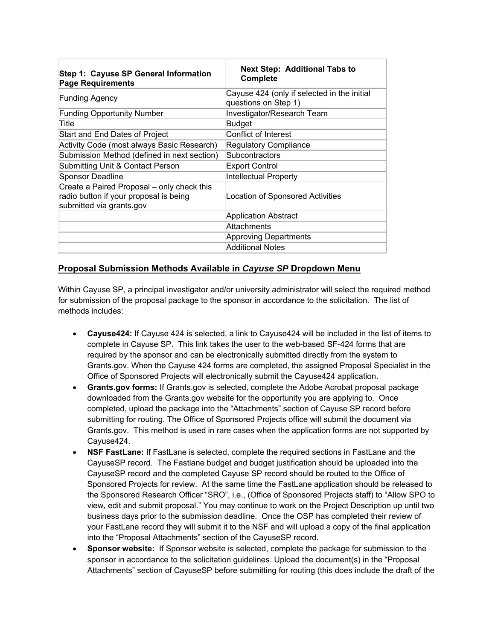| Step 1: Cayuse SP General Information<br><b>Page Requirements</b>                                                | <b>Next Step: Additional Tabs to</b><br><b>Complete</b>             |  |  |  |
|------------------------------------------------------------------------------------------------------------------|---------------------------------------------------------------------|--|--|--|
| <b>Funding Agency</b>                                                                                            | Cayuse 424 (only if selected in the initial<br>questions on Step 1) |  |  |  |
| <b>Funding Opportunity Number</b>                                                                                | Investigator/Research Team                                          |  |  |  |
| Title                                                                                                            | <b>Budget</b>                                                       |  |  |  |
| Start and End Dates of Project                                                                                   | Conflict of Interest                                                |  |  |  |
| Activity Code (most always Basic Research)                                                                       | <b>Regulatory Compliance</b>                                        |  |  |  |
| Submission Method (defined in next section)                                                                      | Subcontractors                                                      |  |  |  |
| Submitting Unit & Contact Person                                                                                 | <b>Export Control</b>                                               |  |  |  |
| Sponsor Deadline                                                                                                 | Intellectual Property                                               |  |  |  |
| Create a Paired Proposal – only check this<br>radio button if your proposal is being<br>submitted via grants.gov | Location of Sponsored Activities                                    |  |  |  |
|                                                                                                                  | Application Abstract                                                |  |  |  |
|                                                                                                                  | Attachments                                                         |  |  |  |
|                                                                                                                  | Approving Departments                                               |  |  |  |
|                                                                                                                  | Additional Notes                                                    |  |  |  |

# **Proposal Submission Methods Available in** *Cayuse SP* **Dropdown Menu**

Within Cayuse SP, a principal investigator and/or university administrator will select the required method for submission of the proposal package to the sponsor in accordance to the solicitation. The list of methods includes:

- **Cayuse424:** If Cayuse 424 is selected, a link to Cayuse424 will be included in the list of items to complete in Cayuse SP. This link takes the user to the web-based SF-424 forms that are required by the sponsor and can be electronically submitted directly from the system to Grants.gov. When the Cayuse 424 forms are completed, the assigned Proposal Specialist in the Office of Sponsored Projects will electronically submit the Cayuse424 application.
- **Grants.gov forms:** If Grants.gov is selected, complete the Adobe Acrobat proposal package downloaded from the Grants.gov website for the opportunity you are applying to. Once completed, upload the package into the "Attachments" section of Cayuse SP record before submitting for routing. The Office of Sponsored Projects office will submit the document via Grants.gov. This method is used in rare cases when the application forms are not supported by Cayuse424.
- **NSF FastLane:** If FastLane is selected, complete the required sections in FastLane and the CayuseSP record. The Fastlane budget and budget justification should be uploaded into the CayuseSP record and the completed Cayuse SP record should be routed to the Office of Sponsored Projects for review. At the same time the FastLane application should be released to the Sponsored Research Officer "SRO", i.e., (Office of Sponsored Projects staff) to "Allow SPO to view, edit and submit proposal." You may continue to work on the Project Description up until two business days prior to the submission deadline. Once the OSP has completed their review of your FastLane record they will submit it to the NSF and will upload a copy of the final application into the "Proposal Attachments" section of the CayuseSP record.
- **Sponsor website:** If Sponsor website is selected, complete the package for submission to the sponsor in accordance to the solicitation guidelines. Upload the document(s) in the "Proposal Attachments" section of CayuseSP before submitting for routing (this does include the draft of the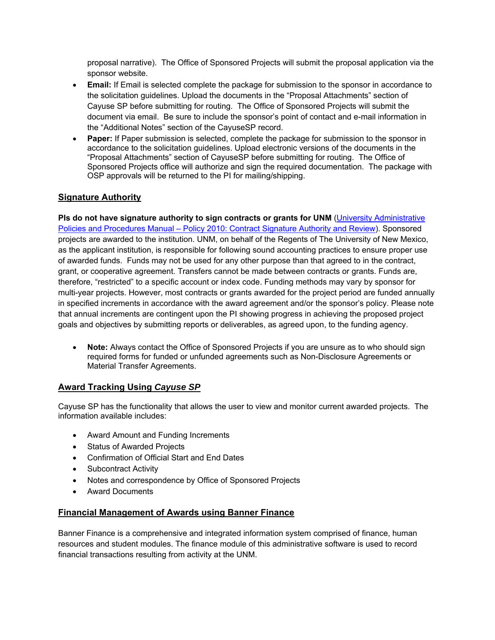proposal narrative). The Office of Sponsored Projects will submit the proposal application via the sponsor website.

- **Email:** If Email is selected complete the package for submission to the sponsor in accordance to the solicitation guidelines. Upload the documents in the "Proposal Attachments" section of Cayuse SP before submitting for routing. The Office of Sponsored Projects will submit the document via email. Be sure to include the sponsor's point of contact and e-mail information in the "Additional Notes" section of the CayuseSP record.
- **Paper:** If Paper submission is selected, complete the package for submission to the sponsor in accordance to the solicitation guidelines. Upload electronic versions of the documents in the "Proposal Attachments" section of CayuseSP before submitting for routing. The Office of Sponsored Projects office will authorize and sign the required documentation. The package with OSP approvals will be returned to the PI for mailing/shipping.

# **Signature Authority**

**PIs do not have signature authority to sign contracts or grants for UNM (University Administrative** Policies and Procedures Manual – Policy 2010: Contract Signature Authority and Review). Sponsored projects are awarded to the institution. UNM, on behalf of the Regents of The University of New Mexico, as the applicant institution, is responsible for following sound accounting practices to ensure proper use of awarded funds. Funds may not be used for any other purpose than that agreed to in the contract, grant, or cooperative agreement. Transfers cannot be made between contracts or grants. Funds are, therefore, "restricted" to a specific account or index code. Funding methods may vary by sponsor for multi-year projects. However, most contracts or grants awarded for the project period are funded annually in specified increments in accordance with the award agreement and/or the sponsor's policy. Please note that annual increments are contingent upon the PI showing progress in achieving the proposed project goals and objectives by submitting reports or deliverables, as agreed upon, to the funding agency.

 **Note:** Always contact the Office of Sponsored Projects if you are unsure as to who should sign required forms for funded or unfunded agreements such as Non-Disclosure Agreements or Material Transfer Agreements.

# **Award Tracking Using** *Cayuse SP*

Cayuse SP has the functionality that allows the user to view and monitor current awarded projects. The information available includes:

- Award Amount and Funding Increments
- Status of Awarded Projects
- Confirmation of Official Start and End Dates
- Subcontract Activity
- Notes and correspondence by Office of Sponsored Projects
- Award Documents

# **Financial Management of Awards using Banner Finance**

Banner Finance is a comprehensive and integrated information system comprised of finance, human resources and student modules. The finance module of this administrative software is used to record financial transactions resulting from activity at the UNM.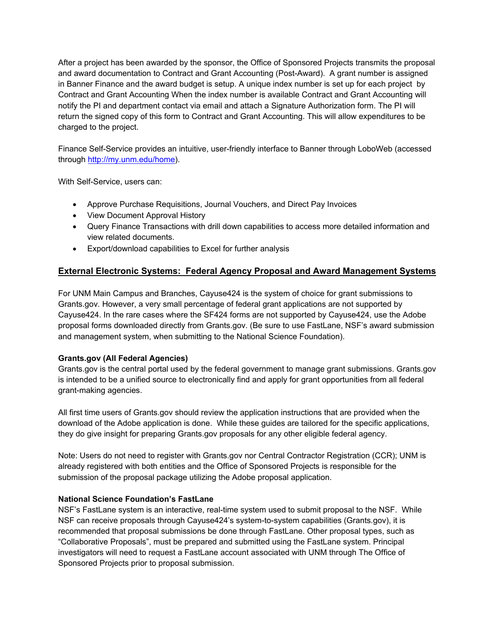After a project has been awarded by the sponsor, the Office of Sponsored Projects transmits the proposal and award documentation to Contract and Grant Accounting (Post-Award). A grant number is assigned in Banner Finance and the award budget is setup. A unique index number is set up for each project by Contract and Grant Accounting When the index number is available Contract and Grant Accounting will notify the PI and department contact via email and attach a Signature Authorization form. The PI will return the signed copy of this form to Contract and Grant Accounting. This will allow expenditures to be charged to the project.

Finance Self-Service provides an intuitive, user-friendly interface to Banner through LoboWeb (accessed through http://my.unm.edu/home).

With Self-Service, users can:

- Approve Purchase Requisitions, Journal Vouchers, and Direct Pay Invoices
- View Document Approval History
- Query Finance Transactions with drill down capabilities to access more detailed information and view related documents.
- Export/download capabilities to Excel for further analysis

# **External Electronic Systems: Federal Agency Proposal and Award Management Systems**

For UNM Main Campus and Branches, Cayuse424 is the system of choice for grant submissions to Grants.gov. However, a very small percentage of federal grant applications are not supported by Cayuse424. In the rare cases where the SF424 forms are not supported by Cayuse424, use the Adobe proposal forms downloaded directly from Grants.gov. (Be sure to use FastLane, NSF's award submission and management system, when submitting to the National Science Foundation).

#### **Grants.gov (All Federal Agencies)**

Grants.gov is the central portal used by the federal government to manage grant submissions. Grants.gov is intended to be a unified source to electronically find and apply for grant opportunities from all federal grant-making agencies.

All first time users of Grants.gov should review the application instructions that are provided when the download of the Adobe application is done. While these guides are tailored for the specific applications, they do give insight for preparing Grants.gov proposals for any other eligible federal agency.

Note: Users do not need to register with Grants.gov nor Central Contractor Registration (CCR); UNM is already registered with both entities and the Office of Sponsored Projects is responsible for the submission of the proposal package utilizing the Adobe proposal application.

#### **National Science Foundation's FastLane**

NSF's FastLane system is an interactive, real-time system used to submit proposal to the NSF. While NSF can receive proposals through Cayuse424's system-to-system capabilities (Grants.gov), it is recommended that proposal submissions be done through FastLane. Other proposal types, such as "Collaborative Proposals", must be prepared and submitted using the FastLane system. Principal investigators will need to request a FastLane account associated with UNM through The Office of Sponsored Projects prior to proposal submission.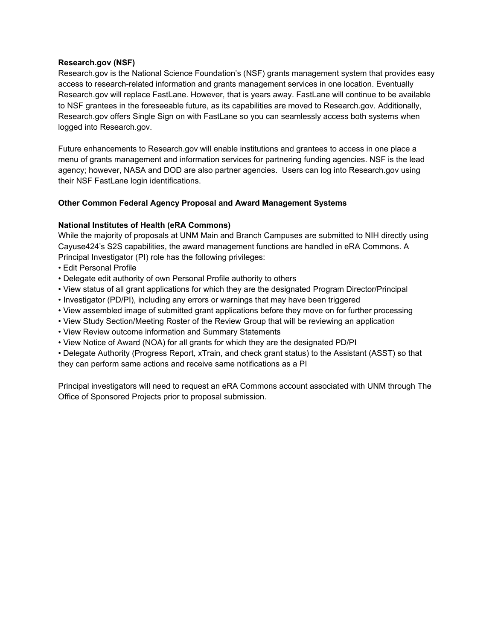#### **Research.gov (NSF)**

Research.gov is the National Science Foundation's (NSF) grants management system that provides easy access to research-related information and grants management services in one location. Eventually Research.gov will replace FastLane. However, that is years away. FastLane will continue to be available to NSF grantees in the foreseeable future, as its capabilities are moved to Research.gov. Additionally, Research.gov offers Single Sign on with FastLane so you can seamlessly access both systems when logged into Research.gov.

Future enhancements to Research.gov will enable institutions and grantees to access in one place a menu of grants management and information services for partnering funding agencies. NSF is the lead agency; however, NASA and DOD are also partner agencies. Users can log into Research.gov using their NSF FastLane login identifications.

#### **Other Common Federal Agency Proposal and Award Management Systems**

#### **National Institutes of Health (eRA Commons)**

While the majority of proposals at UNM Main and Branch Campuses are submitted to NIH directly using Cayuse424's S2S capabilities, the award management functions are handled in eRA Commons. A Principal Investigator (PI) role has the following privileges:

- Edit Personal Profile
- Delegate edit authority of own Personal Profile authority to others
- View status of all grant applications for which they are the designated Program Director/Principal
- Investigator (PD/PI), including any errors or warnings that may have been triggered
- View assembled image of submitted grant applications before they move on for further processing
- View Study Section/Meeting Roster of the Review Group that will be reviewing an application
- View Review outcome information and Summary Statements
- View Notice of Award (NOA) for all grants for which they are the designated PD/PI
- Delegate Authority (Progress Report, xTrain, and check grant status) to the Assistant (ASST) so that they can perform same actions and receive same notifications as a PI

Principal investigators will need to request an eRA Commons account associated with UNM through The Office of Sponsored Projects prior to proposal submission.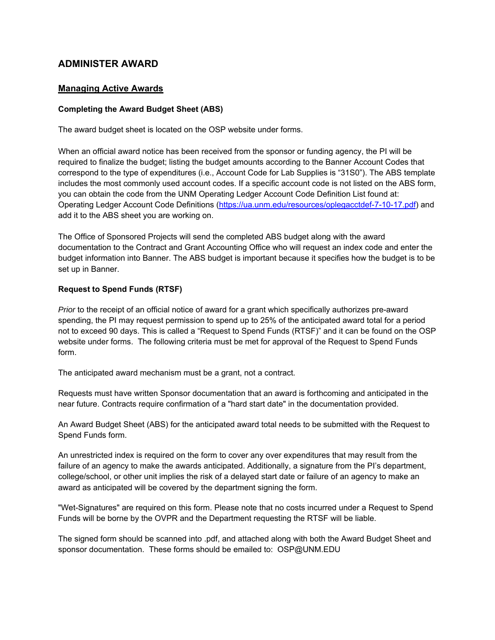# **ADMINISTER AWARD**

# **Managing Active Awards**

### **Completing the Award Budget Sheet (ABS)**

The award budget sheet is located on the OSP website under forms.

When an official award notice has been received from the sponsor or funding agency, the PI will be required to finalize the budget; listing the budget amounts according to the Banner Account Codes that correspond to the type of expenditures (i.e., Account Code for Lab Supplies is "31S0"). The ABS template includes the most commonly used account codes. If a specific account code is not listed on the ABS form, you can obtain the code from the UNM Operating Ledger Account Code Definition List found at: Operating Ledger Account Code Definitions (https://ua.unm.edu/resources/oplegacctdef-7-10-17.pdf) and add it to the ABS sheet you are working on.

The Office of Sponsored Projects will send the completed ABS budget along with the award documentation to the Contract and Grant Accounting Office who will request an index code and enter the budget information into Banner. The ABS budget is important because it specifies how the budget is to be set up in Banner.

### **Request to Spend Funds (RTSF)**

*Prior* to the receipt of an official notice of award for a grant which specifically authorizes pre-award spending, the PI may request permission to spend up to 25% of the anticipated award total for a period not to exceed 90 days. This is called a "Request to Spend Funds (RTSF)" and it can be found on the OSP website under forms. The following criteria must be met for approval of the Request to Spend Funds form.

The anticipated award mechanism must be a grant, not a contract.

Requests must have written Sponsor documentation that an award is forthcoming and anticipated in the near future. Contracts require confirmation of a "hard start date" in the documentation provided.

An Award Budget Sheet (ABS) for the anticipated award total needs to be submitted with the Request to Spend Funds form.

An unrestricted index is required on the form to cover any over expenditures that may result from the failure of an agency to make the awards anticipated. Additionally, a signature from the PI's department, college/school, or other unit implies the risk of a delayed start date or failure of an agency to make an award as anticipated will be covered by the department signing the form.

"Wet-Signatures" are required on this form. Please note that no costs incurred under a Request to Spend Funds will be borne by the OVPR and the Department requesting the RTSF will be liable.

The signed form should be scanned into .pdf, and attached along with both the Award Budget Sheet and sponsor documentation. These forms should be emailed to: OSP@UNM.EDU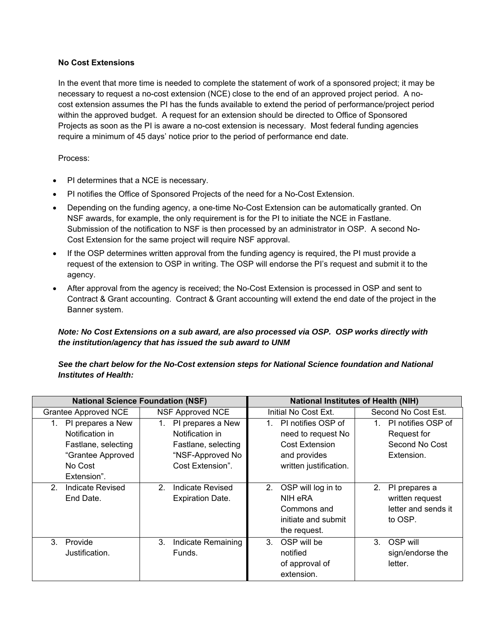#### **No Cost Extensions**

In the event that more time is needed to complete the statement of work of a sponsored project; it may be necessary to request a no-cost extension (NCE) close to the end of an approved project period. A nocost extension assumes the PI has the funds available to extend the period of performance/project period within the approved budget. A request for an extension should be directed to Office of Sponsored Projects as soon as the PI is aware a no-cost extension is necessary. Most federal funding agencies require a minimum of 45 days' notice prior to the period of performance end date.

Process:

- PI determines that a NCE is necessary.
- PI notifies the Office of Sponsored Projects of the need for a No-Cost Extension.
- Depending on the funding agency, a one-time No-Cost Extension can be automatically granted. On NSF awards, for example, the only requirement is for the PI to initiate the NCE in Fastlane. Submission of the notification to NSF is then processed by an administrator in OSP. A second No-Cost Extension for the same project will require NSF approval.
- If the OSP determines written approval from the funding agency is required, the PI must provide a request of the extension to OSP in writing. The OSP will endorse the PI's request and submit it to the agency.
- After approval from the agency is received; the No-Cost Extension is processed in OSP and sent to Contract & Grant accounting. Contract & Grant accounting will extend the end date of the project in the Banner system.

# *Note: No Cost Extensions on a sub award, are also processed via OSP. OSP works directly with the institution/agency that has issued the sub award to UNM*

### *See the chart below for the No-Cost extension steps for National Science foundation and National Institutes of Health:*

|                                    | <b>National Science Foundation (NSF)</b> | <b>National Institutes of Health (NIH)</b> |                          |  |  |
|------------------------------------|------------------------------------------|--------------------------------------------|--------------------------|--|--|
| <b>Grantee Approved NCE</b>        | <b>NSF Approved NCE</b>                  | Initial No Cost Ext.                       | Second No Cost Est.      |  |  |
| PI prepares a New<br>1.            | PI prepares a New<br>1.                  | 1. PI notifies OSP of                      | PI notifies OSP of<br>1. |  |  |
| Notification in                    | Notification in                          | need to request No                         | Request for              |  |  |
| Fastlane, selecting                | Fastlane, selecting                      | <b>Cost Extension</b>                      | Second No Cost           |  |  |
| "Grantee Approved                  | "NSF-Approved No                         | and provides                               | Extension.               |  |  |
| No Cost                            | Cost Extension".                         | written justification.                     |                          |  |  |
| Extension".                        |                                          |                                            |                          |  |  |
| Indicate Revised<br>2 <sub>1</sub> | Indicate Revised<br>2 <sub>1</sub>       | 2. OSP will log in to                      | 2.<br>PI prepares a      |  |  |
| End Date.                          | <b>Expiration Date.</b>                  | NIH eRA                                    | written request          |  |  |
|                                    |                                          | Commons and                                | letter and sends it      |  |  |
|                                    |                                          | initiate and submit                        | to OSP.                  |  |  |
|                                    |                                          | the request.                               |                          |  |  |
| 3. Provide                         | Indicate Remaining<br>3.                 | 3. OSP will be                             | OSP will<br>3.           |  |  |
| Justification.                     | Funds.                                   | notified                                   | sign/endorse the         |  |  |
|                                    |                                          | of approval of                             | letter.                  |  |  |
|                                    |                                          | extension.                                 |                          |  |  |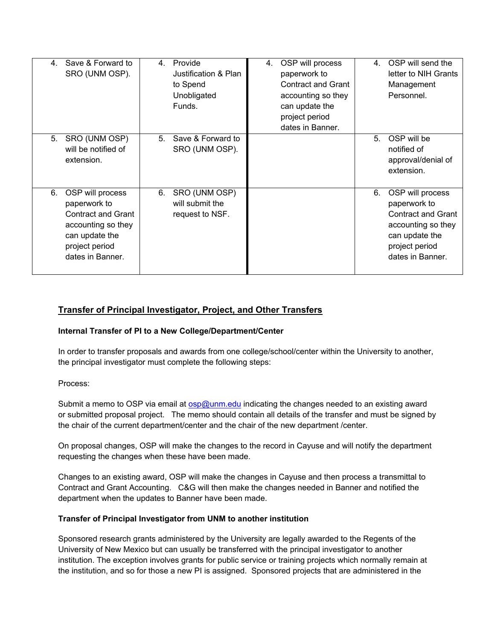| 4  | Save & Forward to<br>SRO (UNM OSP).                                                                                                         | 4. | Provide<br>Justification & Plan<br>to Spend<br>Unobligated<br>Funds. | 4. | OSP will process<br>paperwork to<br><b>Contract and Grant</b><br>accounting so they<br>can update the<br>project period<br>dates in Banner. | 4 <sup>1</sup> | OSP will send the<br>letter to NIH Grants<br>Management<br>Personnel.                                                                       |
|----|---------------------------------------------------------------------------------------------------------------------------------------------|----|----------------------------------------------------------------------|----|---------------------------------------------------------------------------------------------------------------------------------------------|----------------|---------------------------------------------------------------------------------------------------------------------------------------------|
| 5. | SRO (UNM OSP)<br>will be notified of<br>extension.                                                                                          | 5. | Save & Forward to<br>SRO (UNM OSP).                                  |    |                                                                                                                                             | 5.             | OSP will be<br>notified of<br>approval/denial of<br>extension.                                                                              |
| 6. | OSP will process<br>paperwork to<br><b>Contract and Grant</b><br>accounting so they<br>can update the<br>project period<br>dates in Banner. | 6. | SRO (UNM OSP)<br>will submit the<br>request to NSF.                  |    |                                                                                                                                             | 6.             | OSP will process<br>paperwork to<br><b>Contract and Grant</b><br>accounting so they<br>can update the<br>project period<br>dates in Banner. |

# **Transfer of Principal Investigator, Project, and Other Transfers**

#### **Internal Transfer of PI to a New College/Department/Center**

In order to transfer proposals and awards from one college/school/center within the University to another, the principal investigator must complete the following steps:

#### Process:

Submit a memo to OSP via email at osp@unm.edu indicating the changes needed to an existing award or submitted proposal project. The memo should contain all details of the transfer and must be signed by the chair of the current department/center and the chair of the new department /center.

On proposal changes, OSP will make the changes to the record in Cayuse and will notify the department requesting the changes when these have been made.

Changes to an existing award, OSP will make the changes in Cayuse and then process a transmittal to Contract and Grant Accounting. C&G will then make the changes needed in Banner and notified the department when the updates to Banner have been made.

#### **Transfer of Principal Investigator from UNM to another institution**

Sponsored research grants administered by the University are legally awarded to the Regents of the University of New Mexico but can usually be transferred with the principal investigator to another institution. The exception involves grants for public service or training projects which normally remain at the institution, and so for those a new PI is assigned. Sponsored projects that are administered in the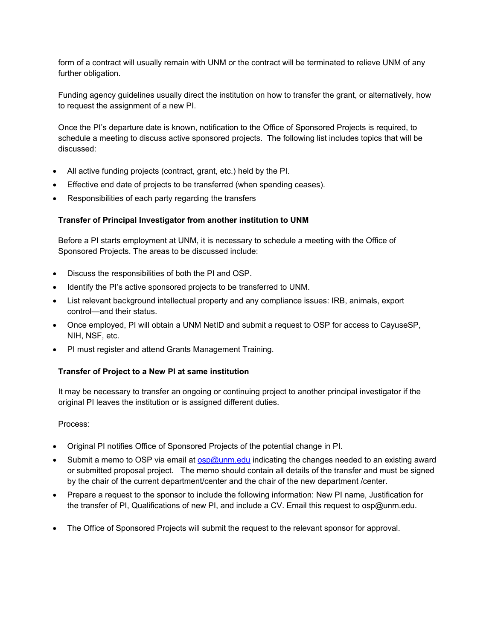form of a contract will usually remain with UNM or the contract will be terminated to relieve UNM of any further obligation.

Funding agency guidelines usually direct the institution on how to transfer the grant, or alternatively, how to request the assignment of a new PI.

Once the PI's departure date is known, notification to the Office of Sponsored Projects is required, to schedule a meeting to discuss active sponsored projects. The following list includes topics that will be discussed:

- All active funding projects (contract, grant, etc.) held by the PI.
- Effective end date of projects to be transferred (when spending ceases).
- Responsibilities of each party regarding the transfers

### **Transfer of Principal Investigator from another institution to UNM**

Before a PI starts employment at UNM, it is necessary to schedule a meeting with the Office of Sponsored Projects. The areas to be discussed include:

- Discuss the responsibilities of both the PI and OSP.
- Identify the PI's active sponsored projects to be transferred to UNM.
- List relevant background intellectual property and any compliance issues: IRB, animals, export control—and their status.
- Once employed, PI will obtain a UNM NetID and submit a request to OSP for access to CayuseSP, NIH, NSF, etc.
- PI must register and attend Grants Management Training.

#### **Transfer of Project to a New PI at same institution**

It may be necessary to transfer an ongoing or continuing project to another principal investigator if the original PI leaves the institution or is assigned different duties.

#### Process:

- Original PI notifies Office of Sponsored Projects of the potential change in PI.
- Submit a memo to OSP via email at osp@unm.edu indicating the changes needed to an existing award or submitted proposal project. The memo should contain all details of the transfer and must be signed by the chair of the current department/center and the chair of the new department /center.
- Prepare a request to the sponsor to include the following information: New PI name, Justification for the transfer of PI, Qualifications of new PI, and include a CV. Email this request to osp@unm.edu.
- The Office of Sponsored Projects will submit the request to the relevant sponsor for approval.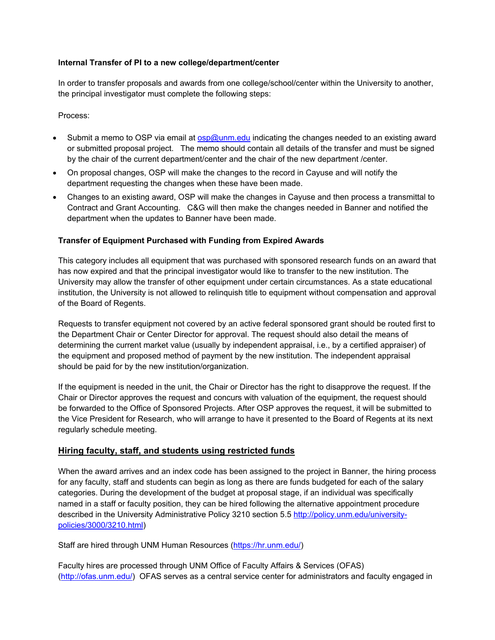#### **Internal Transfer of PI to a new college/department/center**

In order to transfer proposals and awards from one college/school/center within the University to another, the principal investigator must complete the following steps:

Process:

- Submit a memo to OSP via email at **osp@unm.edu** indicating the changes needed to an existing award or submitted proposal project. The memo should contain all details of the transfer and must be signed by the chair of the current department/center and the chair of the new department /center.
- On proposal changes, OSP will make the changes to the record in Cayuse and will notify the department requesting the changes when these have been made.
- Changes to an existing award, OSP will make the changes in Cayuse and then process a transmittal to Contract and Grant Accounting. C&G will then make the changes needed in Banner and notified the department when the updates to Banner have been made.

#### **Transfer of Equipment Purchased with Funding from Expired Awards**

This category includes all equipment that was purchased with sponsored research funds on an award that has now expired and that the principal investigator would like to transfer to the new institution. The University may allow the transfer of other equipment under certain circumstances. As a state educational institution, the University is not allowed to relinquish title to equipment without compensation and approval of the Board of Regents.

Requests to transfer equipment not covered by an active federal sponsored grant should be routed first to the Department Chair or Center Director for approval. The request should also detail the means of determining the current market value (usually by independent appraisal, i.e., by a certified appraiser) of the equipment and proposed method of payment by the new institution. The independent appraisal should be paid for by the new institution/organization.

If the equipment is needed in the unit, the Chair or Director has the right to disapprove the request. If the Chair or Director approves the request and concurs with valuation of the equipment, the request should be forwarded to the Office of Sponsored Projects. After OSP approves the request, it will be submitted to the Vice President for Research, who will arrange to have it presented to the Board of Regents at its next regularly schedule meeting.

# **Hiring faculty, staff, and students using restricted funds**

When the award arrives and an index code has been assigned to the project in Banner, the hiring process for any faculty, staff and students can begin as long as there are funds budgeted for each of the salary categories. During the development of the budget at proposal stage, if an individual was specifically named in a staff or faculty position, they can be hired following the alternative appointment procedure described in the University Administrative Policy 3210 section 5.5 http://policy.unm.edu/universitypolicies/3000/3210.html)

Staff are hired through UNM Human Resources (https://hr.unm.edu/)

Faculty hires are processed through UNM Office of Faculty Affairs & Services (OFAS) (http://ofas.unm.edu/) OFAS serves as a central service center for administrators and faculty engaged in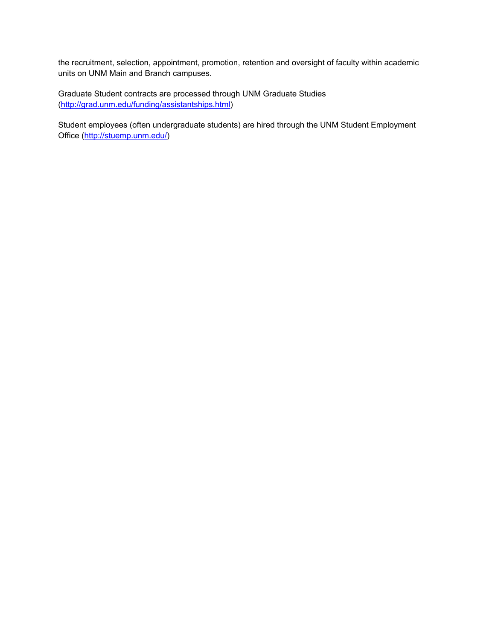the recruitment, selection, appointment, promotion, retention and oversight of faculty within academic units on UNM Main and Branch campuses.

Graduate Student contracts are processed through UNM Graduate Studies (http://grad.unm.edu/funding/assistantships.html)

Student employees (often undergraduate students) are hired through the UNM Student Employment Office (http://stuemp.unm.edu/)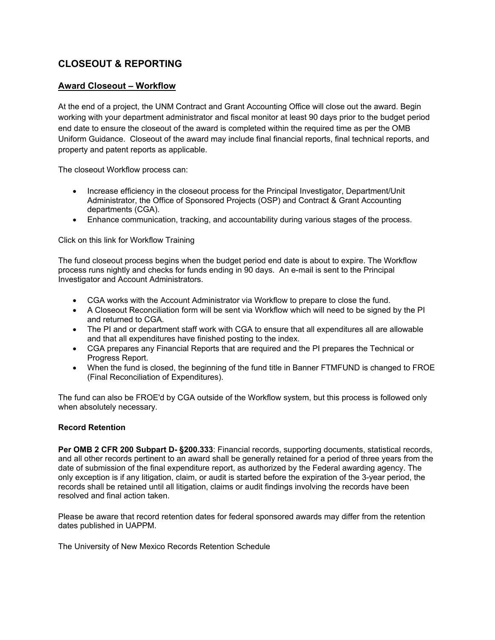# **CLOSEOUT & REPORTING**

### **Award Closeout – Workflow**

At the end of a project, the UNM Contract and Grant Accounting Office will close out the award. Begin working with your department administrator and fiscal monitor at least 90 days prior to the budget period end date to ensure the closeout of the award is completed within the required time as per the OMB Uniform Guidance. Closeout of the award may include final financial reports, final technical reports, and property and patent reports as applicable.

The closeout Workflow process can:

- Increase efficiency in the closeout process for the Principal Investigator, Department/Unit Administrator, the Office of Sponsored Projects (OSP) and Contract & Grant Accounting departments (CGA).
- Enhance communication, tracking, and accountability during various stages of the process.

Click on this link for Workflow Training

The fund closeout process begins when the budget period end date is about to expire. The Workflow process runs nightly and checks for funds ending in 90 days. An e-mail is sent to the Principal Investigator and Account Administrators.

- CGA works with the Account Administrator via Workflow to prepare to close the fund.
- A Closeout Reconciliation form will be sent via Workflow which will need to be signed by the PI and returned to CGA.
- The PI and or department staff work with CGA to ensure that all expenditures all are allowable and that all expenditures have finished posting to the index.
- CGA prepares any Financial Reports that are required and the PI prepares the Technical or Progress Report.
- When the fund is closed, the beginning of the fund title in Banner FTMFUND is changed to FROE (Final Reconciliation of Expenditures).

The fund can also be FROE'd by CGA outside of the Workflow system, but this process is followed only when absolutely necessary.

#### **Record Retention**

**Per OMB 2 CFR 200 Subpart D- §200.333**: Financial records, supporting documents, statistical records, and all other records pertinent to an award shall be generally retained for a period of three years from the date of submission of the final expenditure report, as authorized by the Federal awarding agency. The only exception is if any litigation, claim, or audit is started before the expiration of the 3-year period, the records shall be retained until all litigation, claims or audit findings involving the records have been resolved and final action taken.

Please be aware that record retention dates for federal sponsored awards may differ from the retention dates published in UAPPM.

The University of New Mexico Records Retention Schedule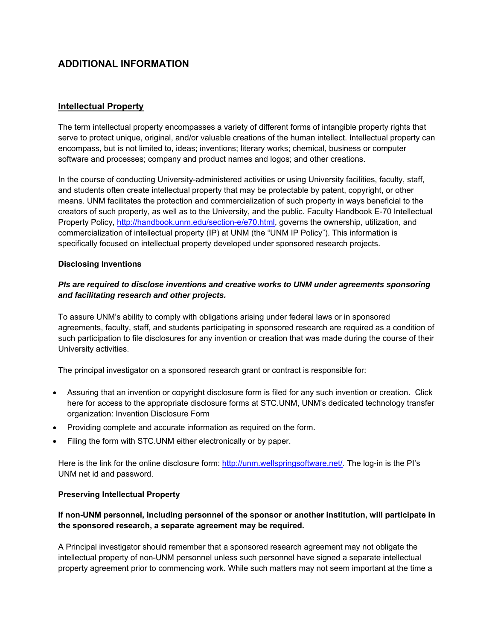# **ADDITIONAL INFORMATION**

### **Intellectual Property**

The term intellectual property encompasses a variety of different forms of intangible property rights that serve to protect unique, original, and/or valuable creations of the human intellect. Intellectual property can encompass, but is not limited to, ideas; inventions; literary works; chemical, business or computer software and processes; company and product names and logos; and other creations.

In the course of conducting University-administered activities or using University facilities, faculty, staff, and students often create intellectual property that may be protectable by patent, copyright, or other means. UNM facilitates the protection and commercialization of such property in ways beneficial to the creators of such property, as well as to the University, and the public. Faculty Handbook E-70 Intellectual Property Policy, http://handbook.unm.edu/section-e/e70.html, governs the ownership, utilization, and commercialization of intellectual property (IP) at UNM (the "UNM IP Policy"). This information is specifically focused on intellectual property developed under sponsored research projects.

#### **Disclosing Inventions**

### *PIs are required to disclose inventions and creative works to UNM under agreements sponsoring and facilitating research and other projects.*

To assure UNM's ability to comply with obligations arising under federal laws or in sponsored agreements, faculty, staff, and students participating in sponsored research are required as a condition of such participation to file disclosures for any invention or creation that was made during the course of their University activities.

The principal investigator on a sponsored research grant or contract is responsible for:

- Assuring that an invention or copyright disclosure form is filed for any such invention or creation. Click here for access to the appropriate disclosure forms at STC.UNM, UNM's dedicated technology transfer organization: Invention Disclosure Form
- Providing complete and accurate information as required on the form.
- Filing the form with STC.UNM either electronically or by paper.

Here is the link for the online disclosure form: http://unm.wellspringsoftware.net/. The log-in is the PI's UNM net id and password.

#### **Preserving Intellectual Property**

### **If non-UNM personnel, including personnel of the sponsor or another institution, will participate in the sponsored research, a separate agreement may be required.**

A Principal investigator should remember that a sponsored research agreement may not obligate the intellectual property of non-UNM personnel unless such personnel have signed a separate intellectual property agreement prior to commencing work. While such matters may not seem important at the time a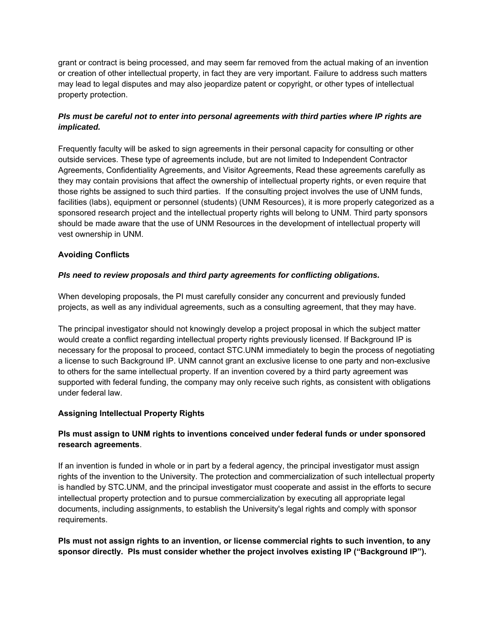grant or contract is being processed, and may seem far removed from the actual making of an invention or creation of other intellectual property, in fact they are very important. Failure to address such matters may lead to legal disputes and may also jeopardize patent or copyright, or other types of intellectual property protection.

### *PIs must be careful not to enter into personal agreements with third parties where IP rights are implicated.*

Frequently faculty will be asked to sign agreements in their personal capacity for consulting or other outside services. These type of agreements include, but are not limited to Independent Contractor Agreements, Confidentiality Agreements, and Visitor Agreements, Read these agreements carefully as they may contain provisions that affect the ownership of intellectual property rights, or even require that those rights be assigned to such third parties. If the consulting project involves the use of UNM funds, facilities (labs), equipment or personnel (students) (UNM Resources), it is more properly categorized as a sponsored research project and the intellectual property rights will belong to UNM. Third party sponsors should be made aware that the use of UNM Resources in the development of intellectual property will vest ownership in UNM.

#### **Avoiding Conflicts**

### *PIs need to review proposals and third party agreements for conflicting obligations.*

When developing proposals, the PI must carefully consider any concurrent and previously funded projects, as well as any individual agreements, such as a consulting agreement, that they may have.

The principal investigator should not knowingly develop a project proposal in which the subject matter would create a conflict regarding intellectual property rights previously licensed. If Background IP is necessary for the proposal to proceed, contact STC.UNM immediately to begin the process of negotiating a license to such Background IP. UNM cannot grant an exclusive license to one party and non-exclusive to others for the same intellectual property. If an invention covered by a third party agreement was supported with federal funding, the company may only receive such rights, as consistent with obligations under federal law.

#### **Assigning Intellectual Property Rights**

# **PIs must assign to UNM rights to inventions conceived under federal funds or under sponsored research agreements**.

If an invention is funded in whole or in part by a federal agency, the principal investigator must assign rights of the invention to the University. The protection and commercialization of such intellectual property is handled by STC.UNM, and the principal investigator must cooperate and assist in the efforts to secure intellectual property protection and to pursue commercialization by executing all appropriate legal documents, including assignments, to establish the University's legal rights and comply with sponsor requirements.

### **PIs must not assign rights to an invention, or license commercial rights to such invention, to any sponsor directly. PIs must consider whether the project involves existing IP ("Background IP").**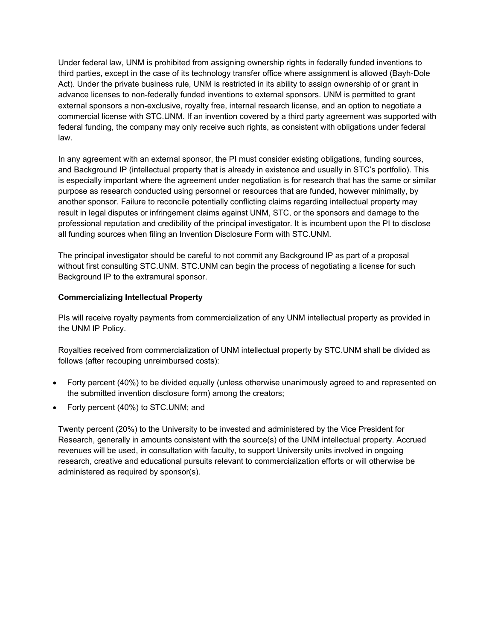Under federal law, UNM is prohibited from assigning ownership rights in federally funded inventions to third parties, except in the case of its technology transfer office where assignment is allowed (Bayh-Dole Act). Under the private business rule, UNM is restricted in its ability to assign ownership of or grant in advance licenses to non-federally funded inventions to external sponsors. UNM is permitted to grant external sponsors a non-exclusive, royalty free, internal research license, and an option to negotiate a commercial license with STC.UNM. If an invention covered by a third party agreement was supported with federal funding, the company may only receive such rights, as consistent with obligations under federal law.

In any agreement with an external sponsor, the PI must consider existing obligations, funding sources, and Background IP (intellectual property that is already in existence and usually in STC's portfolio). This is especially important where the agreement under negotiation is for research that has the same or similar purpose as research conducted using personnel or resources that are funded, however minimally, by another sponsor. Failure to reconcile potentially conflicting claims regarding intellectual property may result in legal disputes or infringement claims against UNM, STC, or the sponsors and damage to the professional reputation and credibility of the principal investigator. It is incumbent upon the PI to disclose all funding sources when filing an Invention Disclosure Form with STC.UNM.

The principal investigator should be careful to not commit any Background IP as part of a proposal without first consulting STC.UNM. STC.UNM can begin the process of negotiating a license for such Background IP to the extramural sponsor.

#### **Commercializing Intellectual Property**

PIs will receive royalty payments from commercialization of any UNM intellectual property as provided in the UNM IP Policy.

Royalties received from commercialization of UNM intellectual property by STC.UNM shall be divided as follows (after recouping unreimbursed costs):

- Forty percent (40%) to be divided equally (unless otherwise unanimously agreed to and represented on the submitted invention disclosure form) among the creators;
- Forty percent (40%) to STC.UNM; and

Twenty percent (20%) to the University to be invested and administered by the Vice President for Research, generally in amounts consistent with the source(s) of the UNM intellectual property. Accrued revenues will be used, in consultation with faculty, to support University units involved in ongoing research, creative and educational pursuits relevant to commercialization efforts or will otherwise be administered as required by sponsor(s).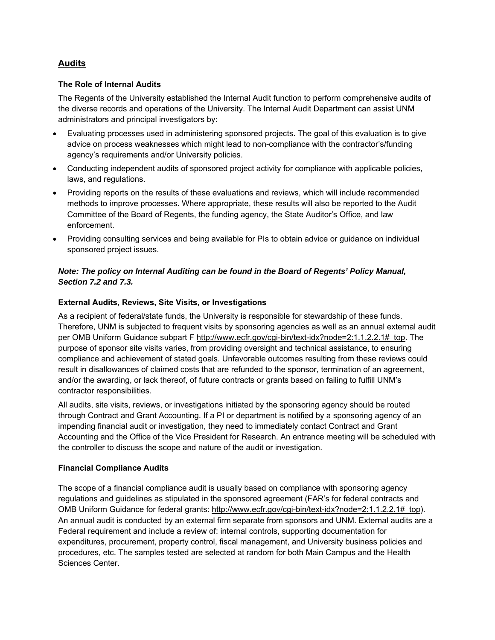# **Audits**

#### **The Role of Internal Audits**

The Regents of the University established the Internal Audit function to perform comprehensive audits of the diverse records and operations of the University. The Internal Audit Department can assist UNM administrators and principal investigators by:

- Evaluating processes used in administering sponsored projects. The goal of this evaluation is to give advice on process weaknesses which might lead to non-compliance with the contractor's/funding agency's requirements and/or University policies.
- Conducting independent audits of sponsored project activity for compliance with applicable policies, laws, and regulations.
- Providing reports on the results of these evaluations and reviews, which will include recommended methods to improve processes. Where appropriate, these results will also be reported to the Audit Committee of the Board of Regents, the funding agency, the State Auditor's Office, and law enforcement.
- Providing consulting services and being available for PIs to obtain advice or guidance on individual sponsored project issues.

### *Note: The policy on Internal Auditing can be found in the Board of Regents' Policy Manual, Section 7.2 and 7.3.*

#### **External Audits, Reviews, Site Visits, or Investigations**

As a recipient of federal/state funds, the University is responsible for stewardship of these funds. Therefore, UNM is subjected to frequent visits by sponsoring agencies as well as an annual external audit per OMB Uniform Guidance subpart F http://www.ecfr.gov/cgi-bin/text-idx?node=2:1.1.2.2.1# top. The purpose of sponsor site visits varies, from providing oversight and technical assistance, to ensuring compliance and achievement of stated goals. Unfavorable outcomes resulting from these reviews could result in disallowances of claimed costs that are refunded to the sponsor, termination of an agreement, and/or the awarding, or lack thereof, of future contracts or grants based on failing to fulfill UNM's contractor responsibilities.

All audits, site visits, reviews, or investigations initiated by the sponsoring agency should be routed through Contract and Grant Accounting. If a PI or department is notified by a sponsoring agency of an impending financial audit or investigation, they need to immediately contact Contract and Grant Accounting and the Office of the Vice President for Research. An entrance meeting will be scheduled with the controller to discuss the scope and nature of the audit or investigation.

#### **Financial Compliance Audits**

The scope of a financial compliance audit is usually based on compliance with sponsoring agency regulations and guidelines as stipulated in the sponsored agreement (FAR's for federal contracts and OMB Uniform Guidance for federal grants: http://www.ecfr.gov/cgi-bin/text-idx?node=2:1.1.2.2.1#\_top). An annual audit is conducted by an external firm separate from sponsors and UNM. External audits are a Federal requirement and include a review of: internal controls, supporting documentation for expenditures, procurement, property control, fiscal management, and University business policies and procedures, etc. The samples tested are selected at random for both Main Campus and the Health Sciences Center.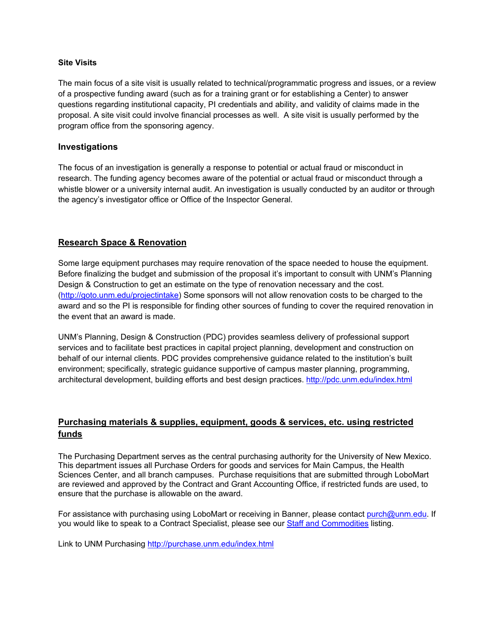#### **Site Visits**

The main focus of a site visit is usually related to technical/programmatic progress and issues, or a review of a prospective funding award (such as for a training grant or for establishing a Center) to answer questions regarding institutional capacity, PI credentials and ability, and validity of claims made in the proposal. A site visit could involve financial processes as well. A site visit is usually performed by the program office from the sponsoring agency.

#### **Investigations**

The focus of an investigation is generally a response to potential or actual fraud or misconduct in research. The funding agency becomes aware of the potential or actual fraud or misconduct through a whistle blower or a university internal audit. An investigation is usually conducted by an auditor or through the agency's investigator office or Office of the Inspector General.

# **Research Space & Renovation**

Some large equipment purchases may require renovation of the space needed to house the equipment. Before finalizing the budget and submission of the proposal it's important to consult with UNM's Planning Design & Construction to get an estimate on the type of renovation necessary and the cost. (http://goto.unm.edu/projectintake) Some sponsors will not allow renovation costs to be charged to the award and so the PI is responsible for finding other sources of funding to cover the required renovation in the event that an award is made.

UNM's Planning, Design & Construction (PDC) provides seamless delivery of professional support services and to facilitate best practices in capital project planning, development and construction on behalf of our internal clients. PDC provides comprehensive guidance related to the institution's built environment; specifically, strategic guidance supportive of campus master planning, programming, architectural development, building efforts and best design practices. http://pdc.unm.edu/index.html

# **Purchasing materials & supplies, equipment, goods & services, etc. using restricted funds**

The Purchasing Department serves as the central purchasing authority for the University of New Mexico. This department issues all Purchase Orders for goods and services for Main Campus, the Health Sciences Center, and all branch campuses. Purchase requisitions that are submitted through LoboMart are reviewed and approved by the Contract and Grant Accounting Office, if restricted funds are used, to ensure that the purchase is allowable on the award.

For assistance with purchasing using LoboMart or receiving in Banner, please contact purch@unm.edu. If you would like to speak to a Contract Specialist, please see our **Staff and Commodities listing.** 

Link to UNM Purchasing http://purchase.unm.edu/index.html